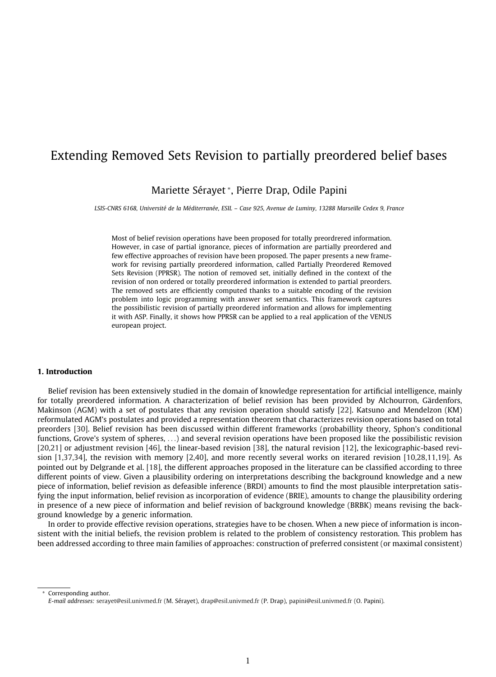# Extending Removed Sets Revision to partially preordered belief bases

Mariette Sérayet \*, Pierre Drap, Odile Papini

LSIS-CNRS 6168, Université de la Méditerranée, ESIL – Case 925, Avenue de Luminy, 13288 Marseille Cedex 9, France

Most of belief revision operations have been proposed for totally preordrered information. However, in case of partial ignorance, pieces of information are partially preordered and few effective approaches of revision have been proposed. The paper presents a new framework for revising partially preordered information, called Partially Preordered Removed Sets Revision (PPRSR). The notion of removed set, initially defined in the context of the revision of non ordered or totally preordered information is extended to partial preorders. The removed sets are efficiently computed thanks to a suitable encoding of the revision problem into logic programming with answer set semantics. This framework captures the possibilistic revision of partially preordered information and allows for implementing it with ASP. Finally, it shows how PPRSR can be applied to a real application of the VENUS european project.

## 1. Introduction

Belief revision has been extensively studied in the domain of knowledge representation for artificial intelligence, mainly for totally preordered information. A characterization of belief revision has been provided by Alchourron, Gärdenfors, Makinson (AGM) with a set of postulates that any revision operation should satisfy [\[22\]](#page-16-0). Katsuno and Mendelzon (KM) reformulated AGM's postulates and provided a representation theorem that characterizes revision operations based on total preorders [\[30\]](#page-16-0). Belief revision has been discussed within different frameworks (probabillity theory, Sphon's conditional functions, Grove's system of spheres, ...) and several revision operations have been proposed like the possibilistic revision [\[20,21\]](#page-16-0) or adjustment revision [\[46\],](#page-16-0) the linear-based revision [\[38\]](#page-16-0), the natural revision [\[12\],](#page-16-0) the lexicographic-based revision [\[1,37,34\],](#page-16-0) the revision with memory [\[2,40\],](#page-16-0) and more recently several works on iterared revision [\[10,28,11,19\].](#page-16-0) As pointed out by Delgrande et al. [\[18\]](#page-16-0), the different approaches proposed in the literature can be classified according to three different points of view. Given a plausibility ordering on interpretations describing the background knowledge and a new piece of information, belief revision as defeasible inference (BRDI) amounts to find the most plausible interpretation satisfying the input information, belief revision as incorporation of evidence (BRIE), amounts to change the plausibility ordering in presence of a new piece of information and belief revision of background knowledge (BRBK) means revising the background knowledge by a generic information.

In order to provide effective revision operations, strategies have to be chosen. When a new piece of information is inconsistent with the initial beliefs, the revision problem is related to the problem of consistency restoration. This problem has been addressed according to three main families of approaches: construction of preferred consistent (or maximal consistent)

Corresponding author. E-mail addresses: serayet@esil.univmed.fr (M. Sérayet), drap@esil.univmed.fr (P. Drap), papini@esil.univmed.fr (O. Papini).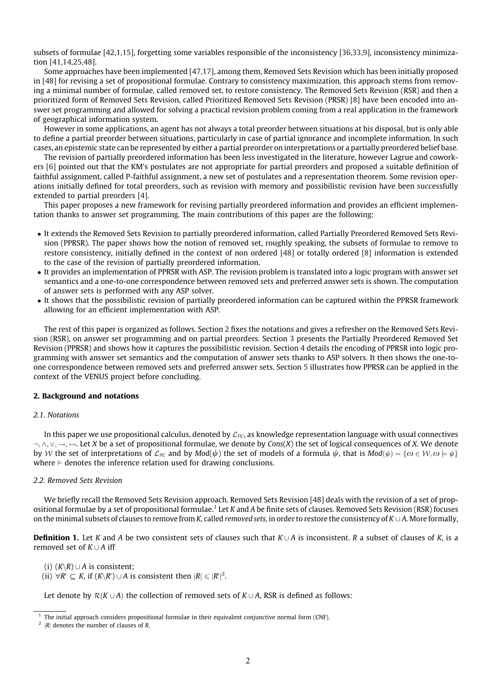subsets of formulae [\[42,1,15\],](#page-16-0) forgetting some variables responsible of the inconsistency [\[36,33,9\]](#page-16-0), inconsistency minimization [\[41,14,25,48\]](#page-16-0).

Some approaches have been implemented [\[47,17\],](#page-16-0) among them, Removed Sets Revision which has been initially proposed in [\[48\]](#page-16-0) for revising a set of propositional formulae. Contrary to consistency maximization, this approach stems from removing a minimal number of formulae, called removed set, to restore consistency. The Removed Sets Revision (RSR) and then a prioritized form of Removed Sets Revision, called Prioritized Removed Sets Revision (PRSR) [\[8\]](#page-16-0) have been encoded into answer set programming and allowed for solving a practical revision problem coming from a real application in the framework of geographical information system.

However in some applications, an agent has not always a total preorder between situations at his disposal, but is only able to define a partial preorder between situations, particularly in case of partial ignorance and incomplete information. In such cases, an epistemic state can be represented by either a partial preorder on interpretations or a partially preordered belief base.

The revision of partially preordered information has been less investigated in the literature, however Lagrue and coworkers [\[6\]](#page-16-0) pointed out that the KM's postulates are not appropriate for partial preorders and proposed a suitable definition of faithful assignment, called P-faithful assignment, a new set of postulates and a representation theorem. Some revision operations initially defined for total preorders, such as revision with memory and possibilistic revision have been successfully extended to partial preorders [\[4\].](#page-16-0)

This paper proposes a new framework for revising partially preordered information and provides an efficient implementation thanks to answer set programming. The main contributions of this paper are the following:

- It extends the Removed Sets Revision to partially preordered information, called Partially Preordered Removed Sets Revision (PPRSR). The paper shows how the notion of removed set, roughly speaking, the subsets of formulae to remove to restore consistency, initially defined in the context of non ordered [\[48\]](#page-16-0) or totally ordered [\[8\]](#page-16-0) information is extended to the case of the revision of partially preordered information.
- It provides an implementation of PPRSR with ASP. The revision problem is translated into a logic program with answer set semantics and a one-to-one correspondence between removed sets and preferred answer sets is shown. The computation of answer sets is performed with any ASP solver.
- It shows that the possibilistic revision of partially preordered information can be captured within the PPRSR framework allowing for an efficient implementation with ASP.

The rest of this paper is organized as follows. Section 2 fixes the notations and gives a refresher on the Removed Sets Revision (RSR), on answer set programming and on partial preorders. Section 3 presents the Partially Preordered Removed Set Revision (PPRSR) and shows how it captures the possibilistic revision. Section 4 details the encoding of PPRSR into logic programming with answer set semantics and the computation of answer sets thanks to ASP solvers. It then shows the one-toone correspondence between removed sets and preferred answer sets. Section 5 illustrates how PPRSR can be applied in the context of the VENUS project before concluding.

# 2. Background and notations

# 2.1. Notations

In this paper we use propositional calculus, denoted by  $\mathcal{L}_{\mathcal{PC}}$ , as knowledge representation language with usual connectives  $\neg, \wedge, \vee, \rightarrow, \leftrightarrow.$  Let X be a set of propositional formulae, we denote by Cons(X) the set of logical consequences of X. We denote by W the set of interpretations of  $\mathcal{L}_{PC}$  and by Mod( $\psi$ ) the set of models of a formula  $\psi$ , that is Mod( $\psi$ ) = { $\omega \in \mathcal{W}, \omega \models \psi$ } where  $\models$  denotes the inference relation used for drawing conclusions.

# 2.2. Removed Sets Revision

We briefly recall the Removed Sets Revision approach. Removed Sets Revision [\[48\]](#page-16-0) deals with the revision of a set of propositional formulae by a set of propositional formulae.<sup>1</sup> Let K and A be finite sets of clauses. Removed Sets Revision (RSR) focuses on the minimal subsets of clauses to remove from K, called *removed sets*, in order to restore the consistency of  $K \cup A$ . More formally,

**Definition 1.** Let K and A be two consistent sets of clauses such that  $K \cup A$  is inconsistent. R a subset of clauses of K, is a removed set of  $K \cup A$  iff

(i)  $(K \backslash R) \cup A$  is consistent;

(ii)  $\forall R \subseteq K$ , if  $(K \backslash R) \cup A$  is consistent then  $|R| \leq R'|^2$ .

Let denote by  $\mathcal{R}(K \cup A)$  the collection of removed sets of  $K \cup A$ , RSR is defined as follows:

<sup>1</sup> The initial approach considers propositional formulae in their equivalent conjunctive normal form (CNF).

 $2 |R|$  denotes the number of clauses of R.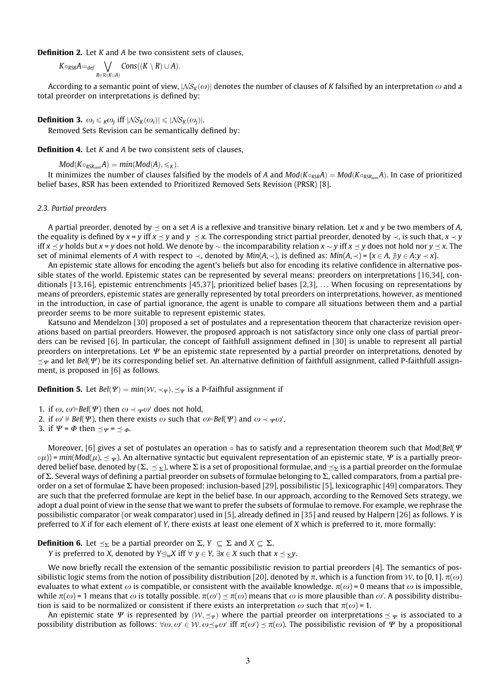**Definition 2.** Let K and A be two consistent sets of clauses.

$$
K \circ_{RSR} A =_{def} \bigvee_{R \in \mathcal{R}(K \cup A)} Cons((K \setminus R) \cup A).
$$

According to a semantic point of view,  $|N\mathcal{S}_k(\omega)|$  denotes the number of clauses of K falsified by an interpretation  $\omega$  and a total preorder on interpretations is defined by:

**Definition 3.**  $\omega_i \leq \kappa \omega_i$  iff  $|\mathcal{NS}_K(\omega_i)| \leq |\mathcal{NS}_K(\omega_i)|$ .

Removed Sets Revision can be semantically defined by:

**Definition 4.** Let K and A be two consistent sets of clauses.

 $Mod(K_{\mathcal{O}_{RSR,em}} A) = min(Mod(A), \leq_K).$ 

It minimizes the number of clauses falsified by the models of A and  $Mod(K_{PSR}A) = Mod(K_{PSR}A)$ . In case of prioritized belief bases, RSR has been extended to Prioritized Removed Sets Revision (PRSR) [\[8\].](#page-16-0)

# 2.3. Partial preorders

A partial preorder, denoted by  $\prec$  on a set A is a reflexive and transitive binary relation. Let x and y be two members of A, the equality is defined by  $x = v$  iff  $x \prec v$  and  $v \prec x$ . The corresponding strict partial preorder, denoted by  $\prec$ , is such that,  $x \prec v$ iff  $x \prec y$  holds but  $x = y$  does not hold. We denote by  $\sim$  the incomparability relation  $x \sim y$  iff  $x \prec y$  does not hold nor  $y \prec x$ . The set of minimal elements of A with respect to  $\prec$ , denoted by  $Min(A, \prec)$ , is defined as:  $Min(A, \prec) = \{x \in A, \exists y \in A : y \prec x\}.$ 

An epistemic state allows for encoding the agent's beliefs but also for encoding its relative confidence in alternative possible states of the world. Epistemic states can be represented by several means: preorders on interpretations [\[16,34\]](#page-16-0), conditionals [\[13,16\],](#page-16-0) epistemic entrenchments [\[45,37\],](#page-16-0) prioritized belief bases [\[2,3\],](#page-16-0) ... When focusing on representations by means of preorders, epistemic states are generally represented by total preorders on interpretations, however, as mentioned in the introduction, in case of partial ignorance, the agent is unable to compare all situations between them and a partial preorder seems to be more suitable to represent epistemic states.

Katsuno and Mendelzon [\[30\]](#page-16-0) proposed a set of postulates and a representation theorem that characterize revision operations based on partial preorders. However, the proposed approach is not satisfactory since only one class of partial preorders can be revised [\[6\]](#page-16-0). In particular, the concept of faithfull assignment defined in [\[30\]](#page-16-0) is unable to represent all partial preorders on interpretations. Let  $\Psi$  be an epistemic state represented by a partial preorder on interpretations, denoted by  $\prec_{\Psi}$  and let Bel(Y) be its corresponding belief set. An alternative definition of faithfull assignment, called P-faithfull assignment, is proposed in [\[6\]](#page-16-0) as follows.

**Definition 5.** Let  $Bel(\Psi) = min(\mathcal{W}, \prec_{\Psi}), \preceq_{\Psi}$  is a P-faifhful assignment if

1. if  $\omega$ ,  $\omega' \in$  Bel( $\Psi$ ) then  $\omega \prec \varphi \omega'$  does not hold,

2. if  $\omega' \not\vDash$  Bel( $\Psi$ ), then there exists  $\omega$  such that  $\omega \vDash$  Bel( $\Psi$ ) and  $\omega \prec \psi \omega'$ ,

3. if  $\Psi = \Phi$  then  $\preceq_{\Psi} = \preceq_{\Phi}$ .

Moreover, [\[6\]](#page-16-0) gives a set of postulates an operation  $\circ$  has to satisfy and a representation theorem such that Mod(Bel( $\Psi$  $\varphi(\omega)$ ) = min(Mod( $\mu$ ),  $\leq \psi$ ). An alternative syntactic but equivalent representation of an epistemic state,  $\Psi$  is a partially preordered belief base, denoted by  $(\Sigma, \leq_{\Sigma})$ , where  $\Sigma$  is a set of propositional formulae, and  $\leq_{\Sigma}$  is a partial preorder on the formulae of  $\Sigma$ . Several ways of defining a partial preorder on subsets of formulae belonging to  $\Sigma$ , called comparators, from a partial preorder on a set of formulae  $\Sigma$  have been proposed: inclusion-based [\[29\],](#page-16-0) possibilistic [\[5\],](#page-16-0) lexicographic [\[49\]](#page-16-0) comparators. They are such that the preferred formulae are kept in the belief base. In our approach, according to the Removed Sets strategy, we adopt a dual point of view in the sense that we want to prefer the subsets of formulae to remove. For example, we rephrase the possibilistic comparator (or weak comparator) used in [\[5\]](#page-16-0), already defined in [\[35\]](#page-16-0) and reused by Halpern [\[26\]](#page-16-0) as follows. Y is preferred to X if for each element of Y, there exists at least one element of X which is preferred to it, more formally:

**Definition 6.** Let  $\preceq_{\Sigma}$  be a partial preorder on  $\Sigma$ ,  $Y \subseteq \Sigma$  and  $X \subseteq \Sigma$ .

Y is preferred to X, denoted by  $Y \leq_{w} X$  iff  $\forall y \in Y$ ,  $\exists x \in X$  such that  $x \leq_{\Sigma} y$ .

We now briefly recall the extension of the semantic possibilistic revision to partial preorders [\[4\].](#page-16-0) The semantics of pos-sibilistic logic stems from the notion of possibility distribution [\[20\],](#page-16-0) denoted by  $\pi$ , which is a function from W, to [0,1].  $\pi(\omega)$ evaluates to what extent  $\omega$  is compatible, or consistent with the available knowledge.  $\pi(\omega)$  = 0 means that  $\omega$  is impossible, while  $\pi(\omega)$  = 1 means that  $\omega$  is totally possible.  $\pi(\omega') \preceq \pi(\omega)$  means that  $\omega$  is more plausible than  $\omega'$ . A possibility distribution is said to be normalized or consistent if there exists an interpretation  $\omega$  such that  $\pi(\omega) = 1$ .

An epistemic state  $\Psi$  is represented by  $(W, \leq_{\Psi})$  where the partial preorder on interpretations  $\leq_{\Psi}$  is associated to a possibility distribution as follows:  $\forall \omega, \omega' \in \mathcal{W}, \omega \leq \psi \omega'$  iff  $\pi(\omega') \leq \pi(\omega)$ . The possibilistic revision of  $\Psi$  by a propositional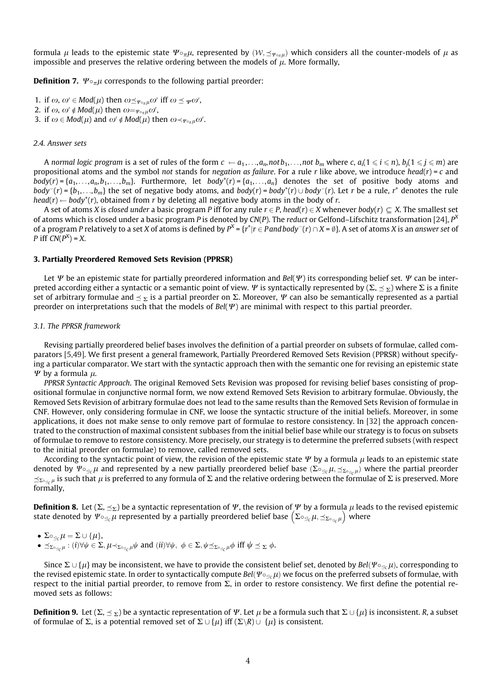<span id="page-3-0"></span>formula  $\mu$  leads to the epistemic state  $\Psi_{\infty,\mu}$ , represented by  $(\mathcal{W}, \preceq_{\Psi_{\infty,\mu}})$  which considers all the counter-models of  $\mu$  as impossible and preserves the relative ordering between the models of  $\mu$ . More formally,

**Definition 7.**  $\Psi_{\varphi_{\pi}}\mu$  corresponds to the following partial preorder:

- 1. if  $\omega$ ,  $\omega' \in Mod(\mu)$  then  $\omega \leq_{\Psi \circ_{\pi} \mu} \omega'$  iff  $\omega \leq_{\Psi} \omega'$ ,
- 2. if  $\omega$ ,  $\omega' \notin Mod(\mu)$  then  $\omega =_{\Psi \circ_{\pi} \mu} \omega'$ ,
- 3. if  $\omega \in \mathsf{Mod}(\mu)$  and  $\omega' \notin \mathsf{Mod}(\mu)$  then  $\omega \prec_{\Psi \circ_{\pi} \mu} \omega'$ .

#### 2.4. Answer sets

A normal logic program is a set of rules of the form  $c \leftarrow a_1, \ldots, a_n$ , not  $b_1, \ldots,$  not  $b_m$  where c,  $a_i(1 \leq i \leq n)$ ,  $b_i(1 \leq j \leq m)$  are propositional atoms and the symbol not stands for negation as failure. For a rule  $r$  like above, we introduce head( $r$ ) =  $c$  and  $body(r) = \{a_1, \ldots, a_n, b_1, \ldots, b_m\}$ . Furthermore, let  $body^+(r) = \{a_1, \ldots, a_n\}$  denotes the set of positive body atoms and  $body^-(r)$  =  $\{b_1,\ldots,b_m\}$  the set of negative body atoms, and  $body(r)$  =  $body^+(r) \cup body^-(r)$ . Let  $r$  be a rule,  $r^+$  denotes the rule head(r)  $\leftarrow$  body<sup>+</sup>(r), obtained from r by deleting all negative body atoms in the body of r.

A set of atoms X is closed under a basic program P iff for any rule  $r \in P$ , head(r)  $\in X$  whenever body(r)  $\subset X$ . The smallest set of atoms which is closed under a basic program P is denoted by  $CN(P)$ . The reduct or Gelfond–Lifschitz transformation [\[24\]](#page-16-0),  $P<sup>X</sup>$ of a program P relatively to a set X of atoms is defined by  $P^X$  =  $\{r^*| r \in Pandbody^-(r) \cap X$  = (). A set of atoms X is an answer set of P iff  $CN(P^X) = X$ .

#### 3. Partially Preordered Removed Sets Revision (PPRSR)

Let  $\Psi$  be an epistemic state for partially preordered information and Bel( $\Psi$ ) its corresponding belief set.  $\Psi$  can be interpreted according either a syntactic or a semantic point of view.  $\Psi$  is syntactically represented by  $(\Sigma, \prec_{\Sigma})$  where  $\Sigma$  is a finite set of arbitrary formulae and  $\prec_{\Sigma}$  is a partial preorder on  $\Sigma$ . Moreover,  $\Psi$  can also be semantically represented as a partial preorder on interpretations such that the models of  $Bel(\Psi)$  are minimal with respect to this partial preorder.

#### 3.1. The PPRSR framework

Revising partially preordered belief bases involves the definition of a partial preorder on subsets of formulae, called comparators [\[5,49\].](#page-16-0) We first present a general framework, Partially Preordered Removed Sets Revision (PPRSR) without specifying a particular comparator. We start with the syntactic approach then with the semantic one for revising an epistemic state  $\Psi$  by a formula  $\mu$ .

PPRSR Syntactic Approach. The original Removed Sets Revision was proposed for revising belief bases consisting of propositional formulae in conjunctive normal form, we now extend Removed Sets Revision to arbitrary formulae. Obviously, the Removed Sets Revision of arbitrary formulae does not lead to the same results than the Removed Sets Revision of formulae in CNF. However, only considering formulae in CNF, we loose the syntactic structure of the initial beliefs. Moreover, in some applications, it does not make sense to only remove part of formulae to restore consistency. In [\[32\]](#page-16-0) the approach concentrated to the construction of maximal consistent subbases from the initial belief base while our strategy is to focus on subsets of formulae to remove to restore consistency. More precisely, our strategy is to determine the preferred subsets (with respect to the initial preorder on formulae) to remove, called removed sets.

According to the syntactic point of view, the revision of the epistemic state  $\Psi$  by a formula  $\mu$  leads to an epistemic state denoted by  $\Psi_{\circ_{\leq \zeta}\mu}$  and represented by a new partially preordered belief base  $(\Sigma_{\circ_{\leq \zeta}\mu}, \pm_{\Sigma_{\circ_{\leq \zeta}\mu}})$  where the partial preorder  $\leq_{\Sigma \circ \phi_{\epsilon} \mu}$  is such that  $\mu$  is preferred to any formula of  $\Sigma$  and the relative ordering between the formulae of  $\Sigma$  is preserved. More formally,

**Definition 8.** Let  $(\Sigma, \preceq_{\Sigma})$  be a syntactic representation of  $\Psi$ , the revision of  $\Psi$  by a formula  $\mu$  leads to the revised epistemic **Definition 6.** Let  $(Z, \leq \Sigma)$  be a syntactic representation of  $Y$ , the revision of  $Y$  by a formula  $\mu$  read<br>state denoted by  $\Psi \circ_{\preceq_{\mathcal{C}}} \mu$  represented by a partially preordered belief base  $\left(\Sigma \circ_{\preceq_{\mathcal{C}}} \mu$ 

- $\Sigma \circ_{\preceq_{\mathcal{C}}} \mu = \Sigma \cup \{\mu\},\$
- $\bullet \preceq_{\Sigma \circ_{\preceq_{\mathcal{C}}}\mu} : (i) \forall \psi \in \Sigma, \mu \prec_{\Sigma \circ_{\preceq_{\mathcal{C}}}\mu} \psi \text{ and } (ii) \forall \psi, \psi \in \Sigma, \psi \preceq_{\Sigma \circ_{\preceq_{\mathcal{C}}}\mu} \phi \text{ iff } \psi \preceq_{\Sigma} \phi.$

Since  $\Sigma \cup \{\mu\}$  may be inconsistent, we have to provide the consistent belief set, denoted by Bel $(\Psi \circ_{\leq \epsilon} \mu)$ , corresponding to the revised epistemic state. In order to syntactically compute Bel( $\Psi_{\circ s_c\mu}$ ) we focus on the preferred subsets of formulae, with respect to the initial partial preorder, to remove from  $\Sigma$ , in order to restore consistency. We first define the potential removed sets as follows:

**Definition 9.** Let  $(\Sigma, \leq_{\Sigma})$  be a syntactic representation of  $\Psi$ . Let  $\mu$  be a formula such that  $\Sigma \cup {\{\mu\}}$  is inconsistent. R, a subset of formulae of  $\Sigma$ , is a potential removed set of  $\Sigma \cup {\{\mu\}}$  iff  $(\Sigma \setminus R) \cup {\{\mu\}}$  is consistent.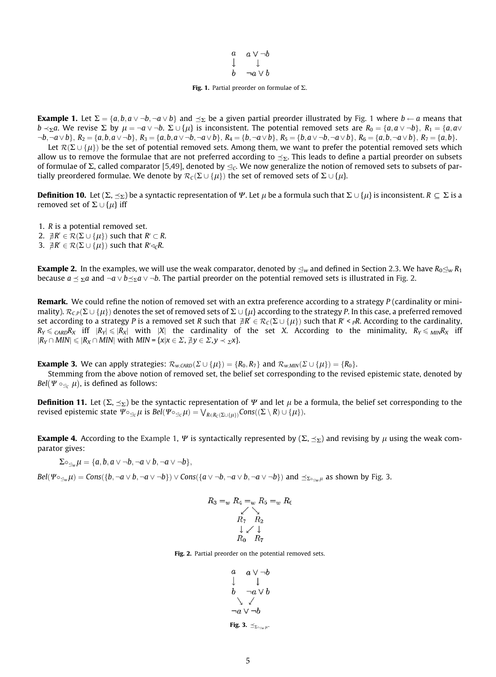$\neg a \vee b$ 

Fig. 1. Partial preorder on formulae of  $\Sigma$ .

<span id="page-4-0"></span>**Example 1.** Let  $\Sigma = \{a, b, a \vee \neg b, \neg a \vee b\}$  and  $\preceq_{\Sigma}$  be a given partial preorder illustrated by Fig. 1 where  $b \leftarrow a$  means that  $b \prec_{\Sigma} a$ . We revise  $\Sigma$  by  $\mu = \neg a \vee \neg b$ .  $\Sigma \cup \{\mu\}$  is inconsistent. The potential removed sets are  $R_0 = \{a, a \vee \neg b\}$ ,  $R_1 = \{a, a \vee \neg b\}$  $i-b$ ;  $-a \vee b$ },  $R_2 = \{a, b, a \vee \neg b\}$ ,  $R_3 = \{a, b, a \vee \neg b, \neg a \vee b\}$ ,  $R_4 = \{b, \neg a \vee b\}$ ,  $R_5 = \{b, a \vee \neg b, \neg a \vee b\}$ ,  $R_6 = \{a, b, \neg a \vee b\}$ ,  $R_7 = \{a, b\}$ .

Let  $\mathcal{R}(\Sigma \cup \{\mu\})$  be the set of potential removed sets. Among them, we want to prefer the potential removed sets which allow us to remove the formulae that are not preferred according to  $\leq_{\Sigma}$ . This leads to define a partial preorder on subsets of formulae of  $\Sigma$ , called comparator [\[5,49\]](#page-16-0), denoted by  $\triangleleft_C$ . We now generalize the notion of removed sets to subsets of partially preordered formulae. We denote by  $\mathcal{R}_C(\Sigma \cup \{\mu\})$  the set of removed sets of  $\Sigma \cup \{\mu\}$ .

**Definition 10.** Let  $(\Sigma, \leq_{\Sigma})$  be a syntactic representation of  $\Psi$ . Let  $\mu$  be a formula such that  $\Sigma \cup {\{\mu\}}$  is inconsistent.  $R \subseteq \Sigma$  is a removed set of  $\Sigma \cup {\{\mu\}}$  iff

- 1. R is a potential removed set.
- 2.  $\exists R' \in \mathcal{R}(\Sigma \cup \{u\})$  such that  $R' \subset R$ .
- 3.  $\exists R' \in \mathcal{R}(\Sigma \cup \{\mu\})$  such that  $R' \triangleleft_C R$ .

**Example 2.** In the examples, we will use the weak comparator, denoted by  $\triangleleft_w$  and defined in Section 2.3. We have  $R_0 \triangleleft_w R_1$ because  $a \prec_{\Sigma} a$  and  $-a \vee b \prec_{\Sigma} a \vee -b$ . The partial preorder on the potential removed sets is illustrated in Fig. 2.

Remark. We could refine the notion of removed set with an extra preference according to a strategy P (cardinality or minimality).  $\mathcal{R}_{CP}(\Sigma \cup \{\mu\})$  denotes the set of removed sets of  $\Sigma \cup \{\mu\}$  according to the strategy P. In this case, a preferred removed set according to a strategy P is a removed set R such that  $\mathbb{R}R' \in \mathcal{R}_C(\Sigma \cup \{\mu\})$  such that  $R' \leq pR$ . According to the cardinality,  $R_Y \leqslant_{CARD} R_X$  iff  $|R_Y| \leqslant |R_X|$  with |X| the cardinality of the set X. According to the minimality,  $R_Y \leqslant_{MIN} R_X$  iff  $|R_Y \cap MIN| \leq R_X \cap MIN|$  with  $MIN = {x|x \in \Sigma, \nexists y \in \Sigma, y \prec \Sigma x}.$ 

**Example 3.** We can apply strategies:  $\mathcal{R}_{w,CAP}(\Sigma \cup \{\mu\}) = \{R_0, R_7\}$  and  $\mathcal{R}_{w,MIN}(\Sigma \cup \{\mu\}) = \{R_0\}$ .

Stemming from the above notion of removed set, the belief set corresponding to the revised epistemic state, denoted by Bel( $\Psi \circ \varphi$   $\mu$ ), is defined as follows:

**Definition 11.** Let  $(\Sigma, \preceq_{\Sigma})$  be the syntactic representation of  $\Psi$  and let  $\mu$  be a formula, the belief set corresponding to the revised epistemic state  $\Psi_{\infty_{\leq C}} \mu$  is  $Bel(\Psi_{\infty_{\leq C}} \mu) = \bigvee_{R \in R_C(\Sigma \cup \{\mu\})} Cons((\Sigma \setminus R) \cup \{\mu\}).$ 

**Example 4.** According to the Example 1,  $\Psi$  is syntactically represented by  $(\Sigma, \preceq_{\Sigma})$  and revising by  $\mu$  using the weak comparator gives:

$$
\Sigma \circ_{\leq_w} \mu = \{a, b, a \vee \neg b, \neg a \vee b, \neg a \vee \neg b\},\
$$

 $Bel(\Psi \circ_{\leq_w} \mu) = Cons(\lbrace b, \neg a \lor b, \neg a \lor \neg b \rbrace) \lor Cons(\lbrace a \lor \neg b, \neg a \lor b, \neg a \lor \neg b \rbrace)$  and  $\preceq_{\Sigma \circ_{\leq_w} \mu}$  as shown by Fig. 3.

$$
R_3 =_w R_4 =_w R_5 =_w R_6
$$
  
\n
$$
R_7 R_2
$$
  
\n
$$
R_0 R_7
$$
  
\n
$$
R_0 R_7
$$

Fig. 2. Partial preorder on the potential removed sets.

$$
\begin{array}{ccc}\na & a \vee \neg b \\
\downarrow & \downarrow \\
b & \neg a \vee b \\
\searrow & \swarrow \\
\neg a \vee \neg b\n\end{array}
$$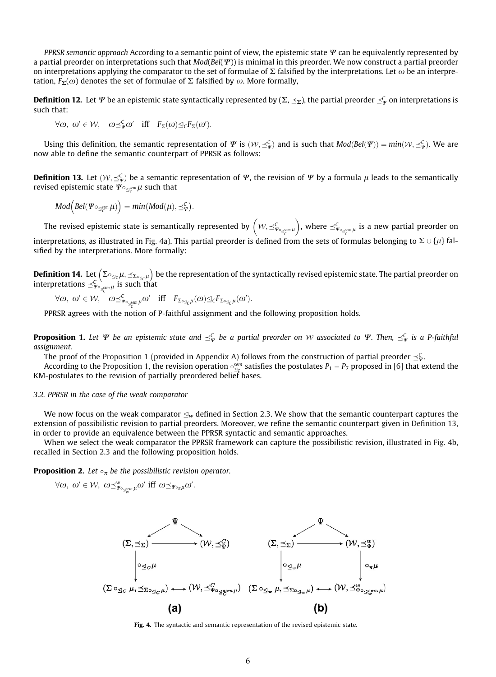<span id="page-5-0"></span>PPRSR semantic approach According to a semantic point of view, the epistemic state  $\Psi$  can be equivalently represented by a partial preorder on interpretations such that  $Mod(Bel(\Psi))$  is minimal in this preorder. We now construct a partial preorder on interpretations applying the comparator to the set of formulae of  $\Sigma$  falsified by the interpretations. Let  $\omega$  be an interpretation,  $F_{\Sigma}(\omega)$  denotes the set of formulae of  $\Sigma$  falsified by  $\omega$ . More formally,

**Definition 12.** Let  $\Psi$  be an epistemic state syntactically represented by ( $\Sigma$ ,  $\preceq_\Sigma$ ), the partial preorder  $\preceq^C_\Psi$  on interpretations is such that:

 $\forall \omega, \ \omega' \in \mathcal{W}, \quad \omega \preceq^{\mathbb{C}}_{\Psi} \omega' \quad \text{iff} \quad F_{\Sigma}(\omega) \preceq_{\mathbb{C}} F_{\Sigma}(\omega').$ 

Using this definition, the semantic representation of  $\Psi$  is  $({\cal W},\preceq^C_{\Psi})$  and is such that  $Mod(Bel(\Psi))=min({\cal W},\preceq^C_{\Psi}).$  We are now able to define the semantic counterpart of PPRSR as follows:

**Definition 13.** Let  $(W, \preceq^C_\Psi)$  be a semantic representation of  $\Psi$ , the revision of  $\Psi$  by a formula  $\mu$  leads to the semantically revised epistemic state  $\varPsi_{^\bigcirc\preceq^{\text{sem}}_{\mathcal{C}}}\mu$  such that

 $\mathsf{Mod}\Big(\mathsf{Bel}(\Psi\circ_{\preceq^{\mathsf{sem}}_{\mathsf{C}}}\mu)\Big) = \mathsf{min}\big(\mathsf{Mod}(\mu),\preceq^{\mathsf{C}}_\Psi\big).$ 

The revised epistemic state is semantically represented by  $\left(\mathcal{W},\preceq^{\mathsf{C}}_{\mathsf{P}_{\circlearrowright_{\mathcal{E}^{\mathsf{sem}}_{\mathcal{C}}}}\mu\right)$  $(1)$ , where  $\preceq^C_{\Psi\circ\frac{\text{seem}}{C}\mu}$  is a new partial preorder on interpretations, as illustrated in Fig. 4a). This partial preorder is defined from the sets of formulas belonging to  $\Sigma \cup \{\mu\}$  falsified by the interpretations. More formally:

**Definition 14.** Let  $\left(\Sigma_{\circ_{\preceq_{\mathcal{C}}}\mu,\preceq_{\Sigma_{\circ_{\preceq_{\mathcal{C}}}\mu}}\right)$  be the representation of the syntactically revised epistemic state. The partial preorder on interpretations  $\preceq^C_{\Psi\circ_{\prec^{\text{sem}}\mu}}$  is such that

 $\forall \omega, \omega' \in \mathcal{W}, \quad \omega \preceq^{\mathcal{C}}_{\psi_{\circ \text{sgn},\mu}} \omega' \quad \text{iff} \quad F_{\Sigma_{\circ \text{sgn},\mu}}(\omega) \trianglelefteq_{\mathcal{C}} F_{\Sigma_{\circ \text{sgn},\mu}}(\omega').$ 

PPRSR agrees with the notion of P-faithful assignment and the following proposition holds.

**Proposition 1.** Let  $\Psi$  be an epistemic state and  $\preceq^C_\Psi$  be a partial preorder on  $W$  associated to  $\Psi$ . Then,  $\preceq^C_\Psi$  is a P-faithful assignment.

The proof of the Proposition 1 (provided in [Appendix A](#page-12-0)) follows from the construction of partial preorder  $\preceq^C_\Psi$ 

According to the Proposition 1, the revision operation  $\circ^{\text{sem}}_{\preceq_{\mathbb{C}}}$  satisfies the postulates  $P_1-P_7$  proposed in [\[6\]](#page-16-0) that extend the KM-postulates to the revision of partially preordered belief bases.

#### 3.2. PPRSR in the case of the weak comparator

We now focus on the weak comparator  $\leq_w$  defined in Section 2.3. We show that the semantic counterpart captures the extension of possibilistic revision to partial preorders. Moreover, we refine the semantic counterpart given in Definition 13, in order to provide an equivalence between the PPRSR syntactic and semantic approaches.

When we select the weak comparator the PPRSR framework can capture the possibilistic revision, illustrated in Fig. 4b, recalled in Section 2.3 and the following proposition holds.

**Proposition 2.** Let  $\circ_{\pi}$  be the possibilistic revision operator.

$$
\forall \omega, \; \omega' \in \mathcal{W}, \; \omega \leq_{\Psi_{\circ} \leq_{\mathbf{w}}^{\mathbf{w}}}^{\mathbf{w}} \omega' \; \text{iff} \; \omega \leq_{\Psi_{\circ} \pi} \omega'.
$$



Fig. 4. The syntactic and semantic representation of the revised epistemic state.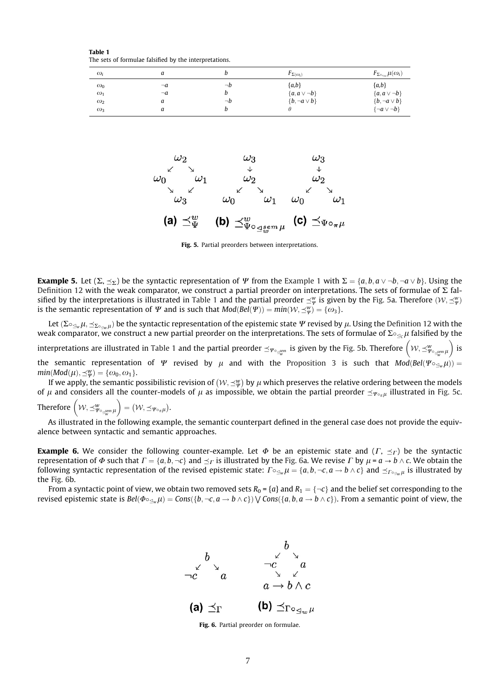<span id="page-6-0"></span>Table 1 The sets of formulae falsified by the interpretations.

| $\omega_i$                                           |                                |                           | $F_{\Sigma(\omega_i)}$                                    | $F_{\Sigma_{\circ_{\alpha}}\mu(\omega_i)}$                                            |
|------------------------------------------------------|--------------------------------|---------------------------|-----------------------------------------------------------|---------------------------------------------------------------------------------------|
| $\omega_0$<br>$\omega_1$<br>$\omega_2$<br>$\omega_3$ | $\neg a$<br>$\neg a$<br>а<br>a | $\neg b$<br>D<br>$\neg b$ | ${a,b}$<br>$\{a, a \vee \neg b\}$<br>${b, \neg a \lor b}$ | ${a,b}$<br>$\{a, a \vee \neg b\}$<br>${b, \neg a \lor b}$<br>$\{\neg a \lor \neg b\}$ |



Fig. 5. Partial preorders between interpretations.

**Example 5.** Let  $(\Sigma, \leq_{\Sigma})$  be the syntactic representation of  $\Psi$  from the [Example 1](#page-4-0) with  $\Sigma = \{a, b, a \vee \neg b, \neg a \vee b\}$ . Using the [Definition 12](#page-5-0) with the weak comparator, we construct a partial preorder on interpretations. The sets of formulae of  $\Sigma$  falsified by the interpretations is illustrated in Table 1 and the partial preorder  $\preceq^w_\Psi$  is given by the Fig. 5a. Therefore  $(\mathcal{W},\preceq^w_\Psi)$ is the semantic representation of  $\Psi$  and is such that  $Mod(Bel(\Psi)) = min(\mathcal{W}, \preceq^w_{\Psi}) = {\omega_3}$ .

Let  $(\Sigma_{\infty_{\leq w}, \mu}, \Sigma_{\Sigma_{\infty_{\leq w}, \mu}})$  be the syntactic representation of the epistemic state  $\Psi$  revised by  $\mu$ . Using the [Definition 12](#page-5-0) with the weak comparator, we construct a new partial preorder on the interpretations. The sets of formulae of  $\Sigma_{\leq c} \mu$  falsified by the interpretations are illustrated in Table 1 and the partial preorder  $\preceq_{\Psi\circ_{\leq^{\text{sym}}_{\infty}}}$  is given by the Fig. 5b. Therefore  $\bigwedge_{\preceq^{\Psi}\circ_{\leq^{\text{sem}}_{\infty}}}\mu$  $\sim$   $\sim$   $\sim$ is the semantic representation of  $\Psi$  revised by  $\mu$  and with the [Proposition 3](#page-7-0) is such that Mod(Bel( $\Psi \circ \pi_{\mu} \mu$ )) =

 $min(Mod(\mu), \preceq^w_{\Psi}) = {\omega_0, \omega_1}.$ 

If we apply, the semantic possibilistic revision of  $({\cal W},\preceq^w_{\Psi})$  by  $\mu$  which preserves the relative ordering between the models of  $\mu$  and considers all the counter-models of  $\mu$  as impossible, we obtain the partial preorder  $\preceq_{\Psi \circ_{\pi} \mu}$  illustrated in Fig. 5c. Therefore  $\Big( \mathcal{W},\preceq^w_{\mathfrak{P}^o_{\triangle_{\mathrm{sw}}^{\mathrm{sem}}}\mu} \Big) = \big( \mathcal{W},\preceq_{\mathfrak{P}^o\pi}\mu \big).$ 

As illustrated in the following example, the semantic counterpart defined in the general case does not provide the equivalence between syntactic and semantic approaches.

**Example 6.** We consider the following counter-example. Let  $\Phi$  be an epistemic state and  $(\Gamma, \preceq_{\Gamma})$  be the syntactic representation of  $\Phi$  such that  $\Gamma = \{a, b, \neg c\}$  and  $\preceq_{\Gamma}$  is illustrated by the Fig. 6a. We revise  $\Gamma$  by  $\mu = a \to b \land c$ . We obtain the following syntactic representation of the revised epistemic state:  $\Gamma \circ \Delta_{\mathcal{S}_w} \mu = \{a, b, \neg c, a \to b \land c\}$  and  $\Delta_{\Gamma \circ \Delta_{\mathcal{S}_w} \mu}$  is illustrated by the Fig. 6b.

From a syntactic point of view, we obtain two removed sets  $R_0 = \{a\}$  and  $R_1 = \{\neg c\}$  and the belief set corresponding to the revised epistemic state is  $Bel(\Phi_{\leq_{\text{w}}}\mu) = Cons(\{b, \neg c, a \rightarrow b \land c\}) \setminus Cons(\{a, b, a \rightarrow b \land c\})$ . From a semantic point of view, the



Fig. 6. Partial preorder on formulae.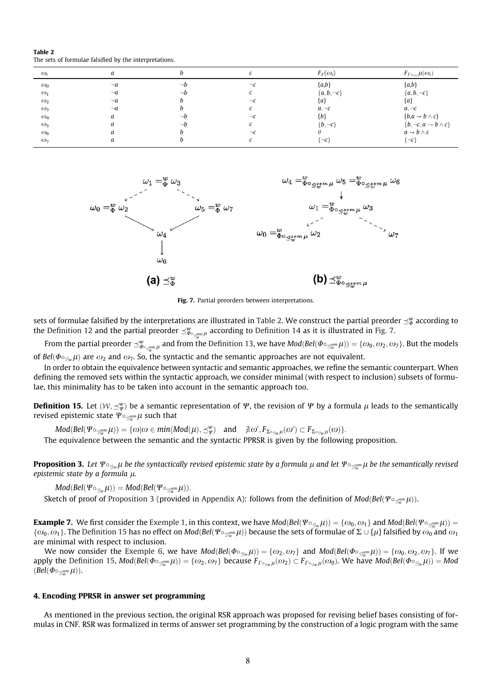<span id="page-7-0"></span>

| Table 2                                                |  |
|--------------------------------------------------------|--|
| The sets of formulae falsified by the interpretations. |  |

| $\omega_i$ | a        |          |          | $F_{\Gamma}(\omega_i)$ | $F_{\Gamma\circ_{\alpha\omega}}\mu(\omega_i)$ |
|------------|----------|----------|----------|------------------------|-----------------------------------------------|
| $\omega_0$ | $\neg a$ | $\neg b$ | $\neg c$ | ${a,b}$                | ${a,b}$                                       |
| $\omega_1$ | $\neg a$ | $\neg b$ |          | ${a,b,\neg c}$         | ${a,b,\neg c}$                                |
| $\omega_2$ | $\neg a$ |          | $\neg c$ | ${a}$                  | ${a}$                                         |
| $\omega_3$ | $\neg a$ |          |          | $a, \neg c$            | $a, \neg c$                                   |
| $\omega_4$ | a        | $\neg b$ | $\neg c$ | ${b}$                  | ${b,a \rightarrow b \land c}$                 |
| $\omega_5$ | a        | $\neg b$ |          | $\{b, \neg c\}$        | ${b, \neg c, a \rightarrow b \land c}$        |
| $\omega_6$ | a        |          | $\neg c$ |                        | $a \rightarrow b \land c$                     |
| $\omega_7$ | a        |          |          | $\{\neg c\}$           | $\lceil -c \rceil$                            |



Fig. 7. Partial preorders between interpretations.

sets of formulae falsified by the interpretations are illustrated in Table 2. We construct the partial preorder  $\preceq^w_\Phi$  according to the [Definition 12](#page-5-0) and the partial preorder  $\preceq_{\Psi\circ_{\mathcal{G}^{\text{sep}}\mu}}^W$  according to [Definition 14](#page-5-0) as it is illustrated in Fig. 7.

From the partial preorder  $\preceq_{\Phi\circ\frac{\text{sgm}}{\text{tw}}\mu}^W$  and from the [Definition 13](#page-5-0), we have  $Mod(Bel(\Phi\circ\frac{\text{sgm}}{\text{tw}}\mu))=\{\omega_0,\omega_2,\omega_7\}.$  But the models of Bel $(\Phi_{\infty_{\text{sub}}} \mu)$  are  $\omega_2$  and  $\omega_7$ . So, the syntactic and the semantic approaches are not equivalent.

In order to obtain the equivalence between syntactic and semantic approaches, we refine the semantic counterpart. When defining the removed sets within the syntactic approach, we consider minimal (with respect to inclusion) subsets of formulae, this minimality has to be taken into account in the semantic approach too.

**Definition 15.** Let  $(W, \preceq^w_\Psi)$  be a semantic representation of  $\Psi$ , the revision of  $\Psi$  by a formula  $\mu$  leads to the semantically revised epistemic state  $\Psi_{\circ \preceq^{\text{sem}}_w} \mu$  such that

 $\text{Mod}(\text{Bel}(\Psi \circ_{\preceq^{\text{sem}}_{w}} \mu)) = \{ \omega | \omega \in \text{min}(\text{Mod}(\mu), \preceq^w_{\Psi}) \text{ and } \nexists \omega', F_{\Sigma \circ_{\preceq_{w}} \mu}(\omega') \subset F_{\Sigma \circ_{\preceq_{w}} \mu}(\omega) \}.$ 

The equivalence between the semantic and the syntactic PPRSR is given by the following proposition.

**Proposition 3.** Let  $\Psi \circ_{\leq_{\sf w}}\mu$  be the syntactically revised epistemic state by a formula  $\mu$  and let  $\Psi \circ_{\leq_{\sf w}}\mu$  be the semantically revised epistemic state by a formula  $\mu$ .

 $\mathsf{Mod}(\mathsf{Bel}(\Psi\circ_{\preceq_{\mathsf{w}}}\mu)) = \mathsf{Mod}(\mathsf{Bel}(\Psi\circ_{\preceq_{\mathsf{w}}^{\mathsf{sem}}}\mu)).$ 

Sketch of proof of Proposition 3 (provided in [Appendix A](#page-12-0)): follows from the definition of  $Mod(Bel(\Psi_{\circ_{\preceq^{\text{sem}}_{w}}}\mu)).$ 

**Example 7.** We first consider the [Exemple 1](#page-4-0), in this context, we have  $Mod(Bel(\Psi \circ_{\preceq_w} \mu)) = \{ \omega_0, \omega_1 \}$  and  $Mod(Bel(\Psi \circ_{\preceq^{\text{sem}}_w} \mu)) =$  $\{\omega_0,\omega_1\}.$  The Definition 15 has no effect on Mod(Bel $(\varPsi\circ_{\preceq^{\text{sem}}_w}\mu))$  because the sets of formulae of  $\Sigma\cup\{\mu\}$  falsified by  $\omega_0$  and  $\omega_1$ are minimal with respect to inclusion.

We now consider the [Exemple 6](#page-6-0), we have  $Mod(Bel(\Phi_{\leq_w}\mu)) = \{\omega_2,\omega_7\}$  and  $Mod(Bel(\Phi_{\leq_{\leq_w}\mu})) = \{\omega_0,\omega_2,\omega_7\}.$  If we apply the Definition 15,  $\text{Mod}(\text{Bel}(\Phi\circ_{\leq^{\text{sem}}_w} \mu)) = \{\omega_2, \omega_7\}$  because  $F_{\Gamma\circ_{\leq_w} \mu}(\omega_2) \subset F_{\Gamma\circ_{\leq_w} \mu}(\omega_0)$ . We have  $\text{Mod}(\text{Bel}(\Phi\circ_{\leq_w} \mu)) = \text{Mod}(\text{Bel}(\Phi\circ_{\leq_w} \mu))$  $(\textit{Bel}(\Phi\circ_{\preceq^{\textit{sem}}_w} \mu)).$ 

#### 4. Encoding PPRSR in answer set programming

As mentioned in the previous section, the original RSR approach was proposed for revising belief bases consisting of formulas in CNF. RSR was formalized in terms of answer set programming by the construction of a logic program with the same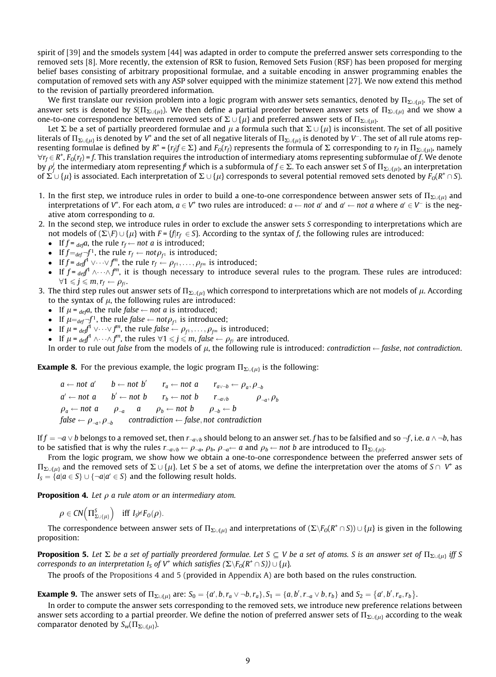<span id="page-8-0"></span>spirit of [\[39\]](#page-16-0) and the smodels system [\[44\]](#page-16-0) was adapted in order to compute the preferred answer sets corresponding to the removed sets [\[8\].](#page-16-0) More recently, the extension of RSR to fusion, Removed Sets Fusion (RSF) has been proposed for merging belief bases consisting of arbitrary propositional formulae, and a suitable encoding in answer programming enables the computation of removed sets with any ASP solver equipped with the minimize statement [\[27\].](#page-16-0) We now extend this method to the revision of partially preordered information.

We first translate our revision problem into a logic program with answer sets semantics, denoted by  $\Pi_{\Sigma\cup\{\mu\}}$ . The set of answer sets is denoted by  $S(\Pi_{\Sigma\cup\{u\}})$ . We then define a partial preorder between answer sets of  $\Pi_{\Sigma\cup\{u\}}$  and we show a one-to-one correspondence between removed sets of  $\Sigma \cup \{\mu\}$  and preferred answer sets of  $\Pi_{\Sigma \cup \{\mu\}}$ .

Let  $\Sigma$  be a set of partially preordered formulae and  $\mu$  a formula such that  $\Sigma \cup {\{\mu\}}$  is inconsistent. The set of all positive literals of  $\Pi_{\Sigma\cup\{\mu\}}$  is denoted by V<sup>+</sup> and the set of all negative literals of  $\Pi_{\Sigma\cup\{\mu\}}$  is denoted by V<sup>-</sup>. The set of all rule atoms representing formulae is defined by  $R^+ = \{r_f | f \in \Sigma\}$  and  $F_0(r_f)$  represents the formula of  $\Sigma$  corresponding to  $r_f$  in  $\Pi_{\Sigma \cup \{u\}}$ , namely  $\forall r_f\in R^*, F_O(r_f)$  = f. This translation requires the introduction of intermediary atoms representing subformulae of f. We denote by  $\rho_f^j$  the intermediary atom representing  $f$  which is a subformula of  $f\in\Sigma.$  To each answer set S of  $\Pi_{\Sigma\cup\{\mu\}}$ , an interpretation of  $\Sigma \cup {\{\mu\}}$  is associated. Each interpretation of  $\Sigma \cup {\{\mu\}}$  corresponds to several potential removed sets denoted by  $F_0(R^+ \cap S)$ .

- 1. In the first step, we introduce rules in order to build a one-to-one correspondence between answer sets of  $\Pi_{\Sigma\cup\{u\}}$  and interpretations of  $V^*$ . For each atom,  $a \in V^*$  two rules are introduced:  $a \leftarrow not \ a'$  and  $a' \leftarrow not \ a$  where  $a' \in V^-$  is the negative atom corresponding to a.
- 2. In the second step, we introduce rules in order to exclude the answer sets S corresponding to interpretations which are not models of  $(\Sigma \backslash F) \cup \{\mu\}$  with  $F = \{f \mid r_f \in S\}$ . According to the syntax of f, the following rules are introduced:
	- If  $f =_{def}a$ , the rule  $r_f \leftarrow not \ a$  is introduced;
	- If  $f =_{def} -f^1$ , the rule  $r_f \leftarrow not\rho_{f^1}$  is introduced;
	- If  $f =_{def}^1 \vee \cdots \vee f^m$ , the rule  $r_f \leftarrow \rho_{f^1}, \ldots, \rho_{f^m}$  is introduced;
	- If  $f =_{def}^1 \wedge \cdots \wedge f^m$ , it is though necessary to introduce several rules to the program. These rules are introduced:  $\forall 1 \leqslant j \leqslant m, r_f \leftarrow \rho_f$ .
- 3. The third step rules out answer sets of  $\Pi_{\Sigma\cup\{\mu\}}$  which correspond to interpretations which are not models of  $\mu$ . According to the syntax of  $\mu$ , the following rules are introduced:
	- If  $\mu =_{def} a$ , the rule false  $\leftarrow$  not a is introduced;
	- If  $\mu =_{def} f^1$ , the rule false  $\leftarrow not\rho_{f^1}$  is introduced;
	- If  $\mu =_{def}^1 \vee \cdots \vee f^m$ , the rule false  $\leftarrow \rho_{f^1}, \ldots, \rho_{f^m}$  is introduced;
	- If  $\mu =_{def}^1 \land \cdots \land f^m$ , the rules  $\forall 1 \leqslant j \leqslant m$ , false  $\leftarrow \rho_{fi}$  are introduced.
	- In order to rule out false from the models of  $\mu$ , the following rule is introduced: contradiction  $\leftarrow$  faslse, not contradiction.

**Example 8.** For the previous example, the logic program  $\Pi_{\Sigma \cup \{u\}}$  is the following:

 $a \leftarrow$  not  $a'$  b  $\leftarrow$  not b'  $r_a \leftarrow$  not  $a$   $r_{a \vee \neg b} \leftarrow \rho_a, \rho_{\neg b}$  $a' \leftarrow not \ a \qquad b' \leftarrow not \ b \qquad r_b \leftarrow not \ b \qquad r_{\neg a \lor b} \qquad \qquad \rho_{\neg a}, \rho_b$  $\rho_{a}\leftarrow$  not a  $\rho_{\lnot a}$  a  $\rho_{b}\leftarrow$  not b  $\rho_{\lnot b}\leftarrow$  b false  $\leftarrow \rho_{\neg a}, \rho_{\neg b}$  contradiction  $\leftarrow$  false, not contradiction

If  $f = \neg a \vee b$  belongs to a removed set, then  $r_{\neg a \vee b}$  should belong to an answer set. f has to be falsified and so  $\neg f$ , i.e.  $a \wedge \neg b$ , has to be satisfied that is why the rules  $r_{\alpha\alpha\beta} \leftarrow \rho_{\alpha\alpha} \rho_b$ ,  $\rho_{\alpha\beta} \leftarrow a$  and  $\rho_b \leftarrow not$  b are introduced to  $\Pi_{\Sigma\cup\{\mu\}}$ .

From the logic program, we show how we obtain a one-to-one correspondence between the preferred answer sets of  $\Pi_{\Sigma \cup \{\mu\}}$  and the removed sets of  $\Sigma \cup \{\mu\}$ . Let S be a set of atoms, we define the interpretation over the atoms of  $S \cap V^*$  as  $I_S = \{a | a \in S\} \cup \{\neg a | a' \in S\}$  and the following result holds.

**Proposition 4.** Let  $\rho$  a rule atom or an intermediary atom.

 $\rho\in \mathsf{CN}\big(\Pi^{\mathsf{S}}_{\Sigma\cup\{\mu\}}$  $\left(\Pi_{\Sigma\cup\{\mu\}}^S\right)$  iff  $I_S \nvDash F_0(\rho)$ .

The correspondence between answer sets of  $\Pi_{\Sigma \cup \{\mu\}}$  and interpretations of  $(\Sigma \setminus F_0(R^+ \cap S)) \cup \{\mu\}$  is given in the following proposition:

**Proposition 5.** Let  $\Sigma$  be a set of partially preordered formulae. Let  $S \subseteq V$  be a set of atoms. S is an answer set of  $\Pi_{\Sigma \cup \{u\}}$  iff S corresponds to an interpretation I<sub>S</sub> of V<sup>+</sup> which satisfies  $(\Sigma \backslash F_0(R^* \cap S)) \cup {\{\mu\}}$ .

The proofs of the Propositions 4 and 5 (provided in [Appendix A\)](#page-12-0) are both based on the rules construction.

**Example 9.** The answer sets of  $\Pi_{\Sigma \cup \{\mu\}}$  are:  $S_0 = \{a', b, r_a \vee \neg b, r_a\}$ ,  $S_1 = \{a, b', r_{\neg a} \vee b, r_b\}$  and  $S_2 = \{a', b', r_a, r_b\}$ .

In order to compute the answer sets corresponding to the removed sets, we introduce new preference relations between answer sets according to a partial preorder. We define the notion of preferred answer sets of  $\Pi_{\Sigma \cup \{u\}}$  according to the weak comparator denoted by  $S_w(\Pi_{\Sigma \cup \{u\}})$ .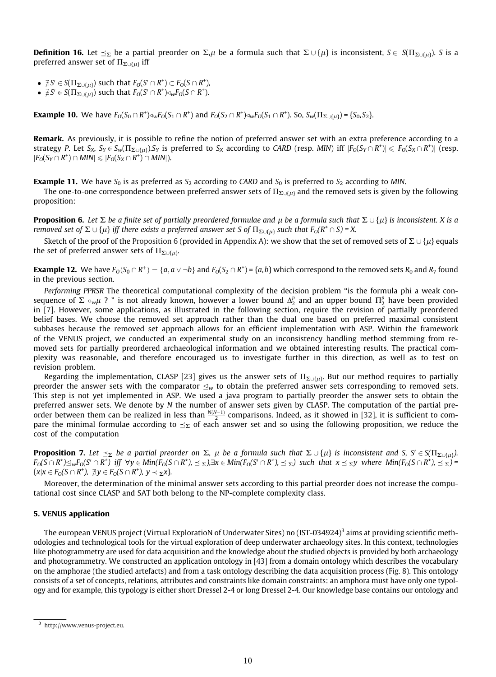**Definition 16.** Let  $\leq_{\Sigma}$  be a partial preorder on  $\Sigma, \mu$  be a formula such that  $\Sigma \cup {\{\mu\}}$  is inconsistent,  $S \in S(\Pi_{\Sigma \cup {\{\mu\}}})$ . S is a preferred answer set of  $\Pi_{\Sigma\cup\{\mu\}}$  iff

- $\exists S' \in S(\Pi_{\Sigma \cup \{\mu\}})$  such that  $F_O(S' \cap R^+) \subset F_O(S \cap R^+)$ ,
- $\exists S' \in S(\Pi_{\Sigma \cup \{\mu\}})$  such that  $F_O(S' \cap R^+) \triangleleft_W F_O(S \cap R^+)$ .

**Example 10.** We have  $F_O(S_O \cap R^+) \triangleleft_W F_O(S_1 \cap R^+)$  and  $F_O(S_2 \cap R^+) \triangleleft_W F_O(S_1 \cap R^+)$ . So,  $S_W(\Pi_{\Sigma \cup \{\mu\}})$  = {S<sub>0</sub>, S<sub>2</sub>}.

Remark. As previously, it is possible to refine the notion of preferred answer set with an extra preference according to a strategy P. Let  $S_X$ ,  $S_Y \in S_w(\Pi_{\Sigma \cup \{\mu\}})$ . $S_Y$  is preferred to  $S_X$  according to CARD (resp. MIN) iff  $|F_O(S_Y \cap R^*)| \leqslant |F_O(S_X \cap R^*)|$  (resp.  $|F_O(S_Y \cap R^+) \cap MIN| \leqslant |F_O(S_X \cap R^+) \cap MIN|$ .

**Example 11.** We have  $S_0$  is as preferred as  $S_2$  according to CARD and  $S_0$  is preferred to  $S_2$  according to MIN.

The one-to-one correspondence between preferred answer sets of  $\Pi_{\Sigma \cup \{u\}}$  and the removed sets is given by the following proposition:

**Proposition 6.** Let  $\Sigma$  be a finite set of partially preordered formulae and  $\mu$  be a formula such that  $\Sigma \cup \{\mu\}$  is inconsistent. X is a removed set of  $\Sigma \cup \{\mu\}$  iff there exists a preferred answer set S of  $\Pi_{\Sigma \cup \{\mu\}}$  such that  $F_0(R^+ \cap S) = X$ .

Sketch of the proof of the Proposition 6 (provided in [Appendix A](#page-12-0)): we show that the set of removed sets of  $\Sigma \cup \{\mu\}$  equals the set of preferred answer sets of  $\Pi_{\Sigma\cup\{\mu\}}$ .

**Example 12.** We have  $F_0(S_0 \cap R^+) = \{a, a \vee \neg b\}$  and  $F_0(S_2 \cap R^+)$  =  $\{a, b\}$  which correspond to the removed sets  $R_0$  and  $R_7$  found in the previous section.

Performing PPRSR The theoretical computational complexity of the decision problem ''is the formula phi a weak consequence of  $\Sigma\,$   $\circ_{w}\mu$  ? " is not already known, however a lower bound  $\Delta^p_2$  and an upper bound  $\Pi^p_2$  have been provided in [\[7\].](#page-16-0) However, some applications, as illustrated in the following section, require the revision of partially preordered belief bases. We choose the removed set approach rather than the dual one based on preferred maximal consistent subbases because the removed set approach allows for an efficient implementation with ASP. Within the framework of the VENUS project, we conducted an experimental study on an inconsistency handling method stemming from removed sets for partially preordered archaeological information and we obtained interesting results. The practical complexity was reasonable, and therefore encouraged us to investigate further in this direction, as well as to test on revision problem.

Regarding the implementation, CLASP [\[23\]](#page-16-0) gives us the answer sets of  $\Pi_{\Sigma\cup\{\mu\}}$ . But our method requires to partially preorder the answer sets with the comparator  $\leq_w$  to obtain the preferred answer sets corresponding to removed sets. This step is not yet implemented in ASP. We used a java program to partially preorder the answer sets to obtain the preferred answer sets. We denote by N the number of answer sets given by CLASP. The computation of the partial preorder between them can be realized in less than  $\frac{N(N-1)}{2}$  comparisons. Indeed, as it showed in [\[32\],](#page-16-0) it is sufficient to compare the minimal formulae according to  $\leq_{\Sigma}$  of each answer set and so using the following proposition, we reduce the cost of the computation

**Proposition 7.** Let  $\leq_{\Sigma}$  be a partial preorder on  $\Sigma$ ,  $\mu$  be a formula such that  $\Sigma \cup \{\mu\}$  is inconsistent and S,  $S' \in S(\Pi_{\Sigma \cup \{\mu\}})$ .  $F_O(S \cap R^+) \trianglelefteq_w F_O(S' \cap R^+)$  iff  $\forall y \in Min(F_O(S \cap R^+), \preceq_\Sigma)$ .] $x \in Min(F_O(S' \cap R^+), \preceq_\Sigma)$  such that  $x \preceq_\Sigma y$  where  $Min(F_O(S \cap R^+), \preceq_\Sigma) =$  $\{x | x \in F_O(S \cap R^+), \forall y \in F_O(S \cap R^+), y \prec_{\Sigma} x\}.$ 

Moreover, the determination of the minimal answer sets according to this partial preorder does not increase the computational cost since CLASP and SAT both belong to the NP-complete complexity class.

## 5. VENUS application

The european VENUS project (Virtual ExploratioN of Underwater Sites) no (IST-034924)<sup>3</sup> aims at providing scientific methodologies and technological tools for the virtual exploration of deep underwater archaeology sites. In this context, technologies like photogrammetry are used for data acquisition and the knowledge about the studied objects is provided by both archaeology and photogrammetry. We constructed an application ontology in [\[43\]](#page-16-0) from a domain ontology which describes the vocabulary on the amphorae (the studied artefacts) and from a task ontology describing the data acquisition process ([Fig. 8](#page-10-0)). This ontology consists of a set of concepts, relations, attributes and constraints like domain constraints: an amphora must have only one typology and for example, this typology is either short Dressel 2-4 or long Dressel 2-4. Our knowledge base contains our ontology and

<sup>3</sup> http://www.venus-project.eu.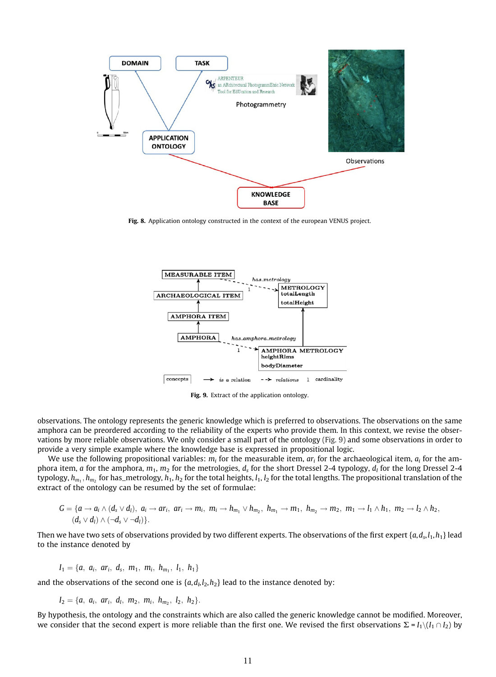<span id="page-10-0"></span>

Fig. 8. Application ontology constructed in the context of the european VENUS project.



Fig. 9. Extract of the application ontology.

observations. The ontology represents the generic knowledge which is preferred to observations. The observations on the same amphora can be preordered according to the reliability of the experts who provide them. In this context, we revise the observations by more reliable observations. We only consider a small part of the ontology (Fig. 9) and some observations in order to provide a very simple example where the knowledge base is expressed in propositional logic.

We use the following propositional variables:  $m_i$  for the measurable item,  $ar_i$  for the archaeological item,  $a_i$  for the amphora item, a for the amphora,  $m_1$ ,  $m_2$  for the metrologies,  $d_s$  for the short Dressel 2-4 typology,  $d_l$  for the long Dressel 2-4 typology,  $h_{m_1}$ ,  $h_{m_2}$  for has\_metrology,  $h_1$ ,  $h_2$  for the total heights,  $l_1$ ,  $l_2$  for the total lengths. The propositional translation of the extract of the ontology can be resumed by the set of formulae:

$$
G = \{a \rightarrow a_i \land (d_s \lor d_l), a_i \rightarrow ar_i, ar_i \rightarrow m_i, m_i \rightarrow h_{m_1} \lor h_{m_2}, h_{m_1} \rightarrow m_1, h_{m_2} \rightarrow m_2, m_1 \rightarrow l_1 \land h_1, m_2 \rightarrow l_2 \land h_2, (d_s \lor d_l) \land (\neg d_s \lor \neg d_l)\}.
$$

Then we have two sets of observations provided by two different experts. The observations of the first expert  $\{a,d_{s_1},h_1\}$  lead to the instance denoted by

 $I_1 = \{a, a_i, ar_i, d_s, m_1, m_i, h_{m_1}, l_1, h_1\}$ 

and the observations of the second one is  $\{a,d_1,l_2,h_2\}$  lead to the instance denoted by:

 $I_2 = \{a, a_i, ar_i, d_l, m_2, m_i, h_{m_2}, l_2, h_2\}.$ 

By hypothesis, the ontology and the constraints which are also called the generic knowledge cannot be modified. Moreover, we consider that the second expert is more reliable than the first one. We revised the first observations  $\Sigma = I_1 \setminus (I_1 \cap I_2)$  by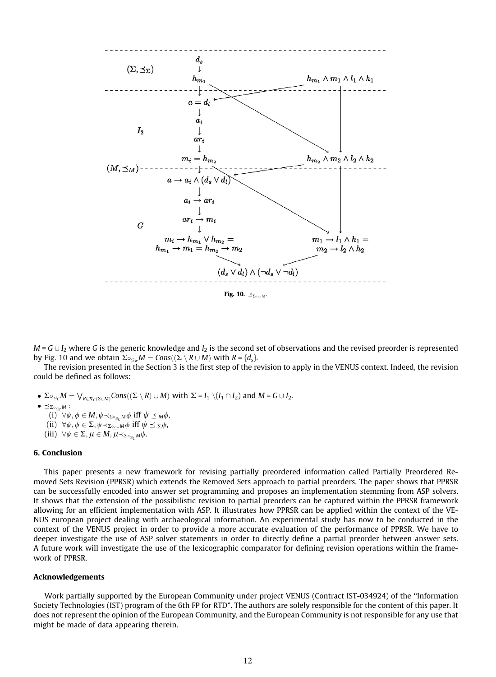

 $M = G \cup I_2$  where G is the generic knowledge and  $I_2$  is the second set of observations and the revised preorder is represented by Fig. 10 and we obtain  $\Sigma \circ \Delta_w M = \text{Cons}((\Sigma \setminus R \cup M)$  with  $R = \{d_s\}.$ 

The revision presented in the Section 3 is the first step of the revision to apply in the VENUS context. Indeed, the revision could be defined as follows:

•  $\Sigma \circ_{\preceq_c} M = \bigvee_{R \in \mathcal{R}_C(\Sigma \cup M)} Cons((\Sigma \setminus R) \cup M)$  with  $\Sigma = I_1 \setminus (I_1 \cap I_2)$  and  $M = G \cup I_2$ .

$$
\preceq_{\sum_{0} \triangleleft c} M
$$

- (i)  $\forall \psi, \phi \in M, \psi \prec_{\Sigma \circ_{\preceq_C} M} \phi \text{ iff } \psi \preceq_M \phi,$
- (ii)  $\forall \psi, \phi \in \Sigma, \psi \prec_{\Sigma \circ \phi} M\phi \text{ iff } \psi \preceq \Sigma \phi,$
- (iii)  $\forall \psi \in \Sigma, \mu \in M, \mu \prec_{\Sigma_{\text{QCD}}} \mu \psi.$

#### 6. Conclusion

 $\bullet$ 

This paper presents a new framework for revising partially preordered information called Partially Preordered Removed Sets Revision (PPRSR) which extends the Removed Sets approach to partial preorders. The paper shows that PPRSR can be successfully encoded into answer set programming and proposes an implementation stemming from ASP solvers. It shows that the extension of the possibilistic revision to partial preorders can be captured within the PPRSR framework allowing for an efficient implementation with ASP. It illustrates how PPRSR can be applied within the context of the VE-NUS european project dealing with archaeological information. An experimental study has now to be conducted in the context of the VENUS project in order to provide a more accurate evaluation of the performance of PPRSR. We have to deeper investigate the use of ASP solver statements in order to directly define a partial preorder between answer sets. A future work will investigate the use of the lexicographic comparator for defining revision operations within the framework of PPRSR.

#### Acknowledgements

Work partially supported by the European Community under project VENUS (Contract IST-034924) of the ''Information Society Technologies (IST) program of the 6th FP for RTD". The authors are solely responsible for the content of this paper. It does not represent the opinion of the European Community, and the European Community is not responsible for any use that might be made of data appearing therein.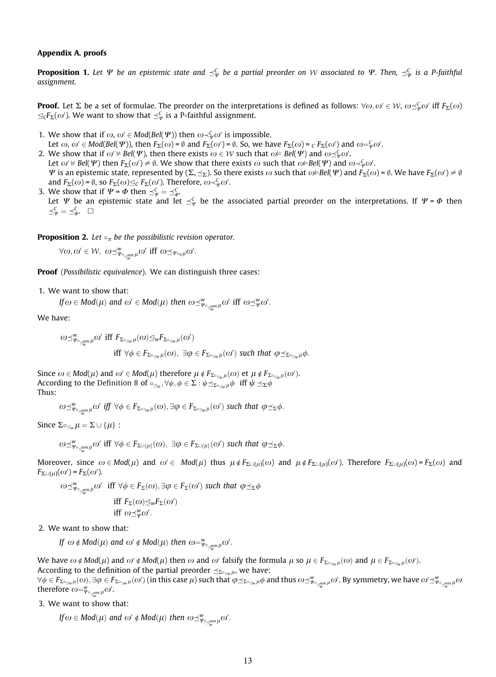#### <span id="page-12-0"></span>Appendix A. proofs

**Proposition 1.** Let  $\Psi$  be an epistemic state and  $\preceq^C_\Psi$  be a partial preorder on  $W$  associated to  $\Psi$ . Then,  $\preceq^C_\Psi$  is a P-faithful assignment.

**Proof.** Let  $\Sigma$  be a set of formulae. The preorder on the interpretations is defined as follows:  $\forall\omega,\omega'\in\mathcal{W},\,\omega{\preceq^C_\psi}\omega'$  iff  $F_\Sigma(\omega)$  $\trianglelefteq_c$  $F_{\Sigma}$ ( $\omega'$ ). We want to show that  $\preceq^{\mathcal{C}}_{\psi}$  is a P-faithful assignment.

- 1. We show that if  $\omega$ ,  $\omega' \in \text{Mod}(\text{Bel}(\Psi))$  then  $\omega \prec^{\mathbb{C}}_{\Psi} \omega'$  is impossible. Let  $\omega$ ,  $\omega' \in \text{Mod}(\text{Bel}(\Psi))$ , then  $F_{\Sigma}(\omega) = \emptyset$  and  $F_{\Sigma}(\omega') = \emptyset$ . So, we have  $F_{\Sigma}(\omega) = \int_{C} F_{\Sigma}(\omega')$  and  $\omega = \frac{C}{\Psi}\omega'$ .
- 2. We show that if  $\omega' \notin Bel(\Psi)$ , then there exists  $\omega \in \mathcal{W}$  such that  $\omega \models Bel(\Psi)$  and  $\omega \preceq^{\mathbb{C}}_{\Psi} \omega'$ . Let  $\omega' \notin Bel(\Psi)$  then  $F_{\Sigma}(\omega') \neq \emptyset$ . We show that there exists  $\omega$  such that  $\omega \models Bel(\Psi)$  and  $\omega \prec_{\Psi}^c \omega'$ .  $\Psi$  is an epistemic state, represented by ( $\Sigma,\preceq_{\Sigma}$ ). So there exists  $\omega$  such that  $\omega\models Bel(\Psi)$  and  $F_{\Sigma}(\omega)=\emptyset$ . We have  $F_{\Sigma}(\omega')\neq\emptyset$ and  $F_{\Sigma}(\omega)$  =  $\emptyset$ , so  $F_{\Sigma}(\omega) \leq_C F_{\Sigma}(\omega')$ . Therefore,  $\omega \prec^C_{\Psi} \omega'$ .
- 3. We show that if  $\Psi = \Phi$  then  $\preceq^C_\Psi = \preceq^C_\Phi$ . Let  $\Psi$  be an epistemic state and let  $\preceq^C_\Psi$  be the associated partial preorder on the interpretations. If  $\Psi$  =  $\Phi$  then  $\preceq^{\mathsf{C}}_{\Psi} = \preceq^{\mathsf{C}}_{\Phi}$ .  $\square$

**Proposition 2.** Let  $\circ_{\pi}$  be the possibilistic revision operator.

 $\forall \omega, \omega' \in \mathcal{W}, \ \omega \preceq^w_{\Psi \circ \text{perm}} \mu^{\omega'} \text{ iff } \omega \preceq_{\Psi \circ \pi \mu} \omega'.$ 

Proof (Possibilistic equivalence). We can distinguish three cases:

1. We want to show that:

If  $\omega \in \mathsf{Mod}(\mu)$  and  $\omega' \in \mathsf{Mod}(\mu)$  then  $\omega \preceq^w_{\mathbb{P}^{\infty}_{\infty}} \omega'$  iff  $\omega \preceq^w_{\mathbb{P}} \omega'.$ 

We have:

$$
\omega \preceq^w_{\Psi \circ \text{sgn } \mu} \omega' \text{ iff } F_{\Sigma \circ \text{sgn } \mu}(\omega) \preceq_w F_{\Sigma \circ \text{sgn } \mu}(\omega')
$$
  
iff  $\forall \phi \in F_{\Sigma \circ \text{sgn } \mu}(\omega), \exists \phi \in F_{\Sigma \circ \text{sgn } \mu}(\omega') \text{ such that } \phi \preceq_{\Sigma \circ \text{sgn } \mu} \phi.$ 

Since  $\omega \in Mod(\mu)$  and  $\omega' \in Mod(\mu)$  therefore  $\mu \notin F_{\Sigma \circ_{\leq w} \mu}(\omega)$  et  $\mu \notin F_{\Sigma \circ_{\leq w} \mu}(\omega').$ According to the [Definition 8](#page-3-0) of  $\circ_{\leq_w}, \forall \psi, \phi \in \Sigma : \psi \leq \circ_{\leq_w} \mu \phi$  iff  $\psi \preceq \Sigma \phi$ Thus:

$$
\omega \preceq^w_{\Psi_{\circ_{\leq w} \mu}} \omega' \text{ iff } \forall \phi \in F_{\Sigma_{\circ_{\leq w}} \mu}(\omega), \exists \phi \in F_{\Sigma_{\circ_{\leq w}} \mu}(\omega') \text{ such that } \phi \preceq_{\Sigma} \phi.
$$

Since  $\Sigma \circ \Delta_{\mathbb{R}} \mu = \Sigma \cup \{\mu\}$ :

 $\omega \preceq^w_{\Psi \circ_{\mathcal{Z}_{w}^{sem}} \mu} \omega'$  iff  $\forall \phi \in F_{\Sigma \cup \{\mu\}}(\omega), \exists \varphi \in F_{\Sigma \cup \{\mu\}}(\omega')$  such that  $\varphi \preceq_{\Sigma} \phi$ .

Moreover, since  $\omega \in Mod(\mu)$  and  $\omega' \in Mod(\mu)$  thus  $\mu \notin F_{\Sigma \cup \{\mu\}}(\omega)$  and  $\mu \notin F_{\Sigma \cup \{\mu\}}(\omega')$ . Therefore  $F_{\Sigma \cup \{\mu\}}(\omega) = F_{\Sigma}(\omega)$  and  $F_{\sum\cup\{\mu\}}(\omega') = F_{\Sigma}(\omega').$ 

$$
\omega \preceq^w_{\Psi \circ \text{sgn } \mu} \omega' \text{ iff } \forall \phi \in F_{\Sigma}(\omega), \exists \phi \in F_{\Sigma}(\omega') \text{ such that } \phi \preceq_{\Sigma} \phi
$$
  
iff  $F_{\Sigma}(\omega) \preceq_w F_{\Sigma}(\omega')$   
iff  $\omega \preceq^w_w \omega'.$ 

2. We want to show that:

If  $\omega \notin Mod(\mu)$  and  $\omega' \notin Mod(\mu)$  then  $\omega =_{\Psi_{\circ_{\mathbb{S}^{\mathrm{sem}}_{w}}\mu}^{\mathbb{W}}}\omega'.$ 

We have  $\omega \notin Mod(\mu)$  and  $\omega' \notin Mod(\mu)$  then  $\omega$  and  $\omega'$  falsify the formula  $\mu$  so  $\mu \in F_{\Sigma \circ_{\leq w} \mu}(\omega)$  and  $\mu \in F_{\Sigma \circ_{\leq w} \mu}(\omega').$ According to the definition of the partial preorder  $\leq_{\Sigma_{\text{out}}\mu}$ , we have:

 $\forall \phi \in F_{\Sigma \circ \leq_{w} \mu}(\omega), \exists \varphi \in F_{\Sigma \circ \leq_{w} \mu}(\omega')$  (in this case  $\mu$ ) such that  $\varphi \preceq_{\Sigma \circ \leq_{w} \mu} \phi$  and thus  $\omega \preceq_{w \circ \leq_{w} \mu}^{\psi} \omega'.$  By symmetry, we have  $\omega' \preceq_{w \circ \leq_{w} \mu}^{\psi} \omega'$ therefore  $\omega = w_{\varphi_{\text{S}^{\text{sem}}_w} \mu} \omega'$ .

3. We want to show that:

If  $\omega \in \mathsf{Mod}(\mu)$  and  $\omega' \notin \mathsf{Mod}(\mu)$  then  $\omega \preceq^{\mathsf{w}}_{\Psi \circ_{\mathsf{sgm}} \mu} \omega'.$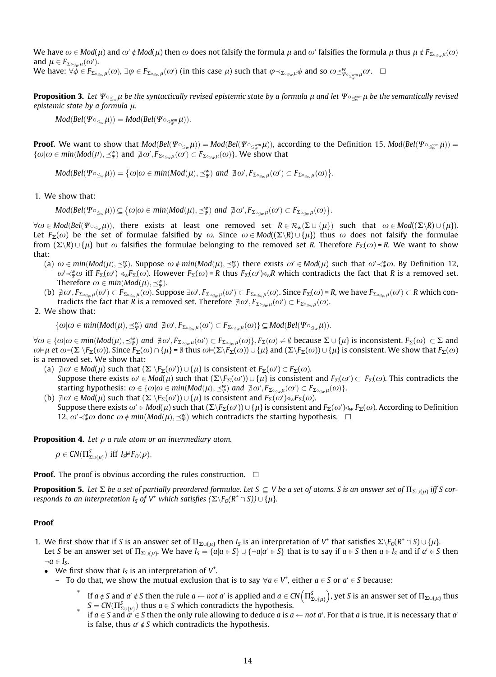We have  $\omega \in Mod(\mu)$  and  $\omega' \notin Mod(\mu)$  then  $\omega$  does not falsify the formula  $\mu$  and  $\omega'$  falsifies the formula  $\mu$  thus  $\mu \notin F_{\Sigma \circ \sim \mu}(\omega)$ and  $\mu \in F_{\Sigma \circ_{\leq w} \mu}(\omega')$ .

We have:  $\forall \phi \in F_{\Sigma \circ_{\exists w} \mu}(\omega)$ ,  $\exists \phi \in F_{\Sigma \circ_{\exists w} \mu}(\omega')$  (in this case  $\mu$ ) such that  $\varphi \prec_{\Sigma \circ_{\exists w} \mu} \phi$  and so  $\omega \preceq^w_{\Psi \circ_{\preceq^{\exists w} \mu} \mu} \omega'$ .

**Proposition 3.** Let  $\Psi \circ_{\preceq_w} \mu$  be the syntactically revised epistemic state by a formula  $\mu$  and let  $\Psi \circ_{\preceq^{\text{sem}}_w} \mu$  be the semantically revised epistemic state by a formula  $\mu$ .

 $\mathsf{Mod}(\mathsf{Bel}(\Psi\circ_{\preceq_{\mathsf{w}}}\mu)) = \mathsf{Mod}(\mathsf{Bel}(\Psi\circ_{\preceq_{\mathsf{w}}^{\mathsf{sem}}}\mu)).$ 

**Proof.** We want to show that  $Mod(Bel(\varPsi \circ_{\preceq_{\mathrm{w}}} \mu)) = Mod(Bel(\varPsi \circ_{\preceq_{\mathrm{w}}^{\mathrm{sem}}} \mu))$ , according to the [Definition 15,](#page-7-0)  $Mod(Bel(\varPsi \circ_{\preceq_{\mathrm{w}}^{\mathrm{sem}}} \mu)) =$  $\{\omega | \omega \in min(Mod(\mu), \preceq^w_\Psi) \text{ and } \nexists \omega', F_{\Sigma \circ \preceq_w \mu}(\omega') \subset F_{\Sigma \circ \preceq_w \mu}(\omega) \}$ . We show that

 $Mod(Bel(\Psi \circ_{\preceq_w} \mu)) = {\omega | \omega \in min(Mod(\mu), \preceq^w_{\Psi}) \text{ and } \nexists \omega', F_{\Sigma \circ_{\preceq_w} \mu}(\omega') \subset F_{\Sigma \circ_{\preceq_w} \mu}(\omega) }$ 

1. We show that:

 $Mod(Bel(\Psi \circ_{\preceq_w} \mu)) \subseteq \{ \omega | \omega \in min(Mod(\mu), \preceq_w^w) \text{ and } \nexists \omega', F_{\Sigma \circ_{\preceq_w} \mu}(\omega') \subset F_{\Sigma \circ_{\preceq_w} \mu}(\omega) \}.$ 

 $\forall \omega \in Mod(Bel(\Psi \circ_{\leq w} \mu))$ , there exists at least one removed set  $R \in \mathcal{R}_w(\Sigma \cup \{\mu\})$  such that  $\omega \in Mod((\Sigma \backslash R) \cup \{\mu\})$ . Let  $F_{\Sigma}(\omega)$  be the set of formulae falsified by  $\omega$ . Since  $\omega \in Mod((\Sigma \backslash R) \cup \{\mu\})$  thus  $\omega$  does not falsify the formulae from  $(\Sigma \setminus R) \cup \{\mu\}$  but  $\omega$  falsifies the formulae belonging to the removed set R. Therefore  $F_{\Sigma}(\omega) = R$ . We want to show that:

- (a)  $\omega \in min(Mod(\mu), \preceq^w_{\Psi})$ . Suppose  $\omega \notin min(Mod(\mu), \preceq^w_{\Psi})$  there exists  $\omega' \in Mod(\mu)$  such that  $\omega' \prec^w_{\Psi}\omega$ . By [Definition 12](#page-5-0),  $\omega' \prec^w_{\Psi} \omega$  iff  $F_{\Sigma}(\omega') \triangleleft_w F_{\Sigma}(\omega)$ . However  $F_{\Sigma}(\omega) = R$  thus  $F_{\Sigma}(\omega') \triangleleft_w R$  which contradicts the fact that R is a removed set. Therefore  $\omega \in min(Mod(\mu), \preceq^w_{\Psi})$ .
- (b)  $\nexists \omega', F_{\sum_{\vartriangle_{\text{sw}}\mu}(\omega') \subset F_{\sum_{\vartriangle_{\text{sw}}\mu}(\omega)}$ . Suppose  $\exists \omega', F_{\sum_{\vartriangle_{\text{sw}}\mu}(\omega') \subset F_{\sum_{\vartriangle_{\text{sw}}\mu}(\omega)}$ . Since  $F_{\Sigma}(\omega)$  = R, we have  $F_{\sum_{\vartriangle_{\text{sw}}\mu}(\omega') \subset R$  which contradicts the fact that R is a removed set. Therefore  $\nexists \omega', F_{\Sigma \circ_{\exists w} \mu}(\omega') \subset F_{\Sigma \circ_{\exists w} \mu}(\omega)$ .

# 2. We show that:

 $\{\omega | \omega \in min(\text{Mod}(\mu), \preceq^w_\Psi) \text{ and } \nexists \omega', F_{\Sigma \circ_{\text{SW}} \mu}(\omega') \subset F_{\Sigma \circ_{\text{SW}} \mu}(\omega) \} \subseteq \text{Mod}(\text{Bel}(\Psi \circ_{\text{SW}} \mu)).$ 

 $\forall \omega \in {\{\omega | \omega \in min(Mod(\mu), \preceq^w_\Psi) \text{ and } \not \exists \omega', F_{\Sigma \circ_{\preceq_w} \mu}(\omega') \subset F_{\Sigma \circ_{\preceq_w} \mu}(\omega) \}, F_{\Sigma}(\omega) \neq \emptyset \text{ because } \Sigma \cup {\{\mu\}} \text{ is inconsistent.}$   $F_{\Sigma}(\omega) \subset \Sigma$  and  $\omega \models \mu$  et  $\omega \models (\Sigma \setminus F_\Sigma(\omega))$ . Since  $F_\Sigma(\omega) \cap \{\mu\} = \emptyset$  thus  $\omega \models (\Sigma \setminus F_\Sigma(\omega)) \cup \{\mu\}$  and  $(\Sigma \setminus F_\Sigma(\omega)) \cup \{\mu\}$  is consistent. We show that  $F_\Sigma(\omega)$ is a removed set. We show that:

- (a)  $\nexists \omega \in Mod(\mu)$  such that  $(\Sigma \setminus F_{\Sigma}(\omega')) \cup \{\mu\}$  is consistent et  $F_{\Sigma}(\omega') \subset F_{\Sigma}(\omega)$ . Suppose there exists  $\omega' \in Mod(\mu)$  such that  $(\Sigma \setminus F_{\Sigma}(\omega')) \cup \{\mu\}$  is consistent and  $F_{\Sigma}(\omega') \subset F_{\Sigma}(\omega)$ . This contradicts the starting hypothesis:  $\omega \in {\omega | \omega \in min(Mod(\mu), \preceq^w_{\Psi})}$  and  $\exists \omega', F_{\Sigma \circ_{\preceq_w} \mu}(\omega') \subset F_{\Sigma \circ_{\preceq_w} \mu}(\omega)$ .
- (b)  $\nexists \omega' \in Mod(\mu)$  such that  $(\Sigma \setminus F_{\Sigma}(\omega')) \cup \{\mu\}$  is consistent and  $F_{\Sigma}(\omega') \triangleleft_{w} F_{\Sigma}(\omega)$ . Suppose there exists  $\omega'\in$  Mod( $\mu$ ) such that ( $\Sigma\setminus F_\Sigma(\omega')\cup\{\mu\}$  is consistent and  $F_\Sigma(\omega')$   $\triangleleft_\omega$ ,  $F_\Sigma(\omega)$ . According to [Definition](#page-5-0) [12,](#page-5-0)  $\omega' \prec^w_\psi \omega$  donc  $\omega \notin min(Mod(\mu), \preceq^w_\psi)$  which contradicts the starting hypothesis.  $\Box$

**Proposition 4.** Let  $\rho$  a rule atom or an intermediary atom.

$$
\rho \in CN(\Pi_{\Sigma \cup \{\mu\}}^S) \text{ iff } I_S \nvDash F_0(\rho).
$$

**Proof.** The proof is obvious according the rules construction.  $\Box$ 

**Proposition 5.** Let  $\Sigma$  be a set of partially preordered formulae. Let  $S \subseteq V$  be a set of atoms. S is an answer set of  $\Pi_{\Sigma \cup \{u\}}$  iff S corresponds to an interpretation  $I_{\rm S}$  of V<sup>+</sup> which satisfies  $(\Sigma \backslash F_0(R^+ \cap S)) \cup \{\mu\}$ .

## Proof

1. We first show that if S is an answer set of  $\Pi_{\Sigma \cup \{\mu\}}$  then  $I_S$  is an interpretation of  $V^*$  that satisfies  $\Sigma \setminus F_O(R^* \cap S) \cup \{\mu\}$ .

Let S be an answer set of  $\Pi_{\Sigma\cup\{\mu\}}$ . We have  $I_S = \{a|a \in S\} \cup \{\neg a|a' \in S\}$  that is to say if  $a \in S$  then  $a \in I_S$  and if  $a' \in S$  then  $\neg a \in I_{\mathcal{S}}$ .

- We first show that  $I_S$  is an interpretation of  $V^*$ .
	- To do that, we show the mutual exclusion that is to say  $\forall a \in V^*$ , either  $a \in S$  or  $a' \in S$  because:
		- $\ast$  If  $a \notin S$  and  $a' \notin S$  then the rule  $a \leftarrow not$  a' is applied and  $a \in CN \left(\Pi_{\Sigma \cup \{\mu\}}^S \right)$  $\overline{\{ \Pi_{\Sigma \cup \{\mu\}}^{\mathsf{S}} \}}$ , yet S is an answer set of  $\Pi_{\Sigma \cup \{\mu\}}$  thus
		- $S = CN(\Pi_{\Sigma\cup\{\mu\}}^S)$  thus  $a \in S$  which contradicts the hypothesis.<br>
		if  $a \in S$  and  $a' \in S$  then the only rule allowing to deduce a is  $a \leftarrow not$  and a if  $a \in S$  and  $a' \in S$  then the only rule allowing to deduce a is  $a \leftarrow not$  a'. For that a is true, it is necessary that a' is false, thus  $a' \notin S$  which contradicts the hypothesis.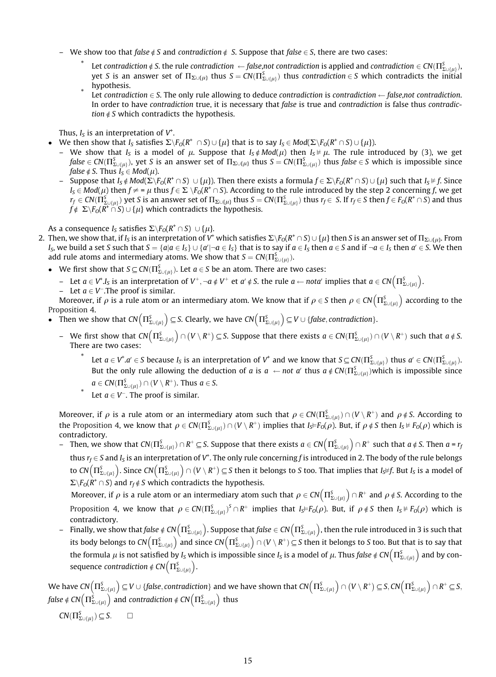- We show too that false  $\notin S$  and contradiction  $\notin S$ . Suppose that false  $\in S$ , there are two cases:
	- $^*$  Let contradiction  $\neq$  S. the rule contradiction  $\leftarrow$  false,not contradiction is applied and contradiction  $\in$  CN( $\Pi_{\Sigma\cup\{\mu\}}^{S}$ ), yet S is an answer set of  $\Pi_{\Sigma\cup\{\mu\}}$  thus  $S=CN(\Pi_{\Sigma\cup\{\mu\}}^S)$  thus *contradiction*  $\in$  S which contradicts the initial hypothesis.<br>Let contradiction  $\in S$ . The only rule allowing to deduce contradiction is contradiction  $\leftarrow$  false,not contradiction.
	- In order to have contradiction true, it is necessary that false is true and contradiction is false thus contradiction  $\text{\textless}$  S which contradicts the hypothesis.

Thus,  $I_S$  is an interpretation of  $V^*$ .

- $\bullet$ We then show that  $I_S$  satisfies  $\Sigma\setminus F_O(R^+ \cap S) \cup {\{\mu\}}$  that is to say  $I_S \in Mod(\Sigma\setminus F_O(R^+ \cap S) \cup {\{\mu\}}).$ 
	- We show that  $I_5$  is a model of  $\mu$ . Suppose that  $I_5 \notin Mod(\mu)$  then  $I_5 \notin \mu$ . The rule introduced by (3), we get  $\textit{false} \in \text{CN}(\Pi^\text{S}_{\Sigma\cup\{\mu\}})$ , yet S is an answer set of  $\Pi_{\Sigma\cup\{\mu\}}$  thus  $S = \text{CN}(\Pi^\text{S}_{\Sigma\cup\{\mu\}})$  thus  $\textit{false} \in$  S which is impossible since *false*  $\notin$  *S*. Thus  $I_S \in Mod(\mu)$ .
	- Suppose that  $I_S \notin Mod(\Sigma \backslash F_O(R^+ \cap S) \cup \{\mu\})$ . Then there exists a formula  $f \in \Sigma \backslash F_O(R^+ \cap S) \cup \{\mu\}$  such that  $I_S \nvDash f$ . Since  $I_S \in Mod(\mu)$  then  $f \neq \mu$  thus  $f \in \Sigma \setminus F_O(R^+ \cap S)$ . According to the rule introduced by the step 2 concerning f, we get  $r_f\in \mathsf{CN}(\Pi^\mathsf{S}_{\Sigma\cup\{\mu\}})$  yet S is an answer set of  $\Pi_{\Sigma\cup\{\mu\}}$  thus  $S=\mathsf{CN}(\Pi^\mathsf{S}_{\Sigma\cup\{\mu\}})$  thus  $r_f\in S$ . If  $r_f\in S$  then  $f\in F_0(R^*\cap S)$  and thus  $f \notin \Sigma \backslash F_0(R^+ \cap S) \cup \{\mu\}$  which contradicts the hypothesis.

As a consequence  $I_S$  satisfies  $\Sigma \backslash F_O(R^* \cap S) \cup \{\mu\}.$ 

- 2. Then, we show that, if  $I_S$  is an interpretation of  $V^*$  which satisfies  $\Sigma \setminus F_O(R^* \cap S) \cup {\mu}$  then S is an answer set of  $\Pi_{\Sigma \cup {\{\mu}\}}$ . From  $I_S$ , we build a set S such that  $S=\{a|a\in I_S\}\cup\{a'|\neg a\in I_S\}$  that is to say if  $a\in I_S$  then  $a\in S$  and if  $\neg a\in I_S$  then  $a'\in S.$  We then add rule atoms and intermediary atoms. We show that  $S = \mathcal{CN}(\Pi_{\Sigma\cup\{\mu\}}^S).$ 
	- $\bullet$  We first show that  $S\!\subseteq\!CN(\Pi^S_{\Sigma\cup\{\mu\}}).$  Let  $a\in S$  be an atom. There are two cases:
		- Let  $a\in V^*.$  is an interpretation of  $V^+,\neg a\notin V^+$  et  $a'\notin S.$  the rule  $a\leftarrow nota'$  implies that  $a\in CN\left(\Pi^S_{\Sigma\cup\{\mu\}}\right)$  $(\Pi_{\Sigma \cup \{\mu\}}^S).$
		- Let  $a \in V^-$ . The proof is similar.

Moreover, if  $\rho$  is a rule atom or an intermediary atom. We know that if  $\rho\in$  S then  $\rho\in$  CN $\left(\Pi^\text{S}_{\Sigma\cup\{\mu\}}\right)$  $\sqrt{T_{\Sigma \cup \{u\}}^S}$  according to the [Proposition 4.](#page-8-0)

- Then we show that  $CN\left(\Pi_{\Sigma\cup\{\mu\}}^{\mathcal{S}}\right)$  $\left(\Pi_{\Sigma\cup\{\mu\}}^S\right)\subseteq S$ . Clearly, we have  $CN\left(\Pi_{\Sigma\cup\{\mu\}}^S\right)$  $U(T^S_{\Sigma \cup \{u\}}) \subseteq V \cup \{false, contradiction\}.$ 
	- .We first show that  $C N \big( \Pi_{\Sigma \cup \{\mu\}}^S$  $\mathcal{L}\left(\Pi_{\Sigma\cup\{\mu\}}^S\right)\cap (V\setminus R^+) \subseteq S$ . Suppose that there exists  $a\in CN(\Pi_{\Sigma\cup\{\mu\}}^S)\cap (V\setminus R^+)$  such that  $a\notin S$ . There are two cases:
		- $^*$  Let  $a\in V^{\star}.a'\in S$  because  $I_S$  is an interpretation of  $V^{\star}$  and we know that  $S\subseteq CN(\Pi_{\Sigma\cup\{\mu\}}^S)$  thus  $a'\in CN(\Pi_{\Sigma\cup\{\mu\}}^S)$ But the only rule allowing the deduction of a is  $a \leftarrow not \ a'$  thus  $a \notin CN(\Pi_{\Sigma\cup\{\mu\}}^S)$  which is impossible since
		- $a\in \mathcal{CN}(\Pi_{\Sigma\cup\{\mu\}}^{\mathcal{S}})\cap (V\setminus R^{+}).$  Thus  $a\in \mathcal{S}.$
		- \* Let  $a \in V^-$ . The proof is similar.

Moreover, if  $\rho$  is a rule atom or an intermediary atom such that  $\rho\in C\!N(\Pi^\mathsf{S}_{\Sigma\cup\{\mu\}})\cap (V\setminus R^+)$  and  $\rho\notin$  S. According to the [Proposition 4,](#page-8-0) we know that  $\rho\in C N(\Pi_{\Sigma\cup\{\mu\}}^S)\cap (V\setminus R^+)$  implies that I<sub>S</sub> $\models F_0(\rho).$  But, if  $\rho\notin S$  then I<sub>S</sub> $\nvDash F_0(\rho)$  which is contradictory.

–  $\;$  Then, we show that  $CN(\Pi_{\Sigma \cup \{\mu\}}^S) \cap R^+ \subseteq S.$  Suppose that there exists  $a \in CN\big(\Pi_{\Sigma \cup \{\mu\}}^S)$  $\Gamma\left(\Pi_{\Sigma\cup\{\mu\}}^S\right)\cap R^+$  such that  $a \notin S$ . Then  $a = r_j$ thus  $r_f \in S$  and  $I_S$  is an interpretation of  $V'$ . The only rule concerning f is introduced in 2. The body of the rule belongs to CN $\left(\Pi^S_{\Sigma\cup\{\mu\}}\right)$  $(\Pi_{\Sigma \cup \{\mu\}}^S)$ . Since  $CN(\Pi_{\Sigma \cup \{\mu\}}^S)$  $\left(\Pi_{\Sigma\cup\{\mu\}}^{S}\right)\cap \left(V\setminus R^{+}\right)\subseteq S$  then it belongs to S too. That implies that  $I_{S} \neq f$ . But  $I_{S}$  is a model of  $\Sigma \backslash F_O(R^* \cap S)$  and  $r_f \notin S$  which contradicts the hypothesis.

Moreover, if  $\rho$  is a rule atom or an intermediary atom such that  $\rho\in$  CN $\big(\Pi_{\Sigma\cup\{\mu\}}^{\mathcal{S}}$  $\mathcal{O}\left(\Pi_{\Sigma\cup\{\mu\}}^{S}\right)\cap R^{+}$  and  $\rho\notin S$ . According to the [Proposition 4,](#page-8-0) we know that  $\rho \in \mathcal{CN}(\Pi_{\Sigma \cup \{\mu\}}^S)^S \cap R^+$  implies that  $I_S \models F_O(\rho)$ . But, if  $\rho \notin S$  then  $I_S \nvDash F_O(\rho)$  which is contradictory.

–  $\,$  Finally, we show that false  $\displaystyle \notin$  CN  $\left( \Pi_{\Sigma \cup \{\mu\}}^S \right)$  $\left( \Pi_{\Sigma \cup \{\mu\}}^{\mathcal{S}} \right)$ . Suppose that false  $\in CN \left( \Pi_{\Sigma \cup \{\mu\}}^{\mathcal{S}} \right)$  $\int (\Pi_{\Sigma \cup \{u\}}^S)$ , then the rule introduced in 3 is such that its body belongs to CN $\left( \Pi_{\Sigma\cup\{\mu\}}^S \right)$  $\left(\Pi_{\Sigma\cup\{\mu\}}^{S}\right)$  and since  $CN\left(\Pi_{\Sigma\cup\{\mu\}}^{S}\right)$  $\left(\Pi_{\Sigma \cup \{\mu\}}^{S}\right) \cap \left(V \setminus R^{+}\right) \subseteq S$  then it belongs to S too. But that is to say that the formula  $\mu$  is not satisfied by I<sub>S</sub> which is impossible since I<sub>S</sub> is a model of  $\mu$ . Thus false  $\notin$  CN  $(\Pi_{\Sigma\cup\{\mu\}}^S)$ (B)  $I_s$  which is impossible since  $I_s$  is a model of  $\mu$ . Thus false  $\notin CN\left(\Pi_{\Sigma\cup\{\mu\}}^S\right)$  and by consequence *contradiction*  $\notin CN(\Pi_{\Sigma \cup \{\mu\}}^S)$ .

We have CN $\left(\Pi_{\Sigma \cup \{\mu\}}^S\right)$  $\left(\Pi_{\Sigma\cup\{\mu\}}^S\right)\subseteq V\cup\{false, contradiction\}$  and we have shown that  $\mathsf{CN}\left(\Pi_{\Sigma\cup\{\mu\}}^S\right)$  $\Gamma\left(\Pi_{\Sigma\cup\{\mu\}}^S\right)\cap (V\setminus R^+) \subseteq S, CN\left(\Pi_{\Sigma\cup\{\mu\}}^S\right)$  $\Gamma\left(\Pi_{\Sigma \cup \{u\}}^{S}\right) \cap R^{+} \subseteq S,$ false  $\text{\# CN} \big( \, \Pi^{\mathcal{S}}_{\Sigma \cup \{\mu\}} \,$  $\pi(\Pi_{\Sigma \cup \{\mu\}}^{S})$  and contradiction  $\notin CN(\Pi_{\Sigma \cup \{\mu\}}^{S})$  $\left(\Pi_{\Sigma\cup\{u\}}^{\mathcal{S}}\right)$  thus

 $CN(\Pi_{\Sigma\cup\{\mu\}}^{S})\subseteq S.$   $\Box$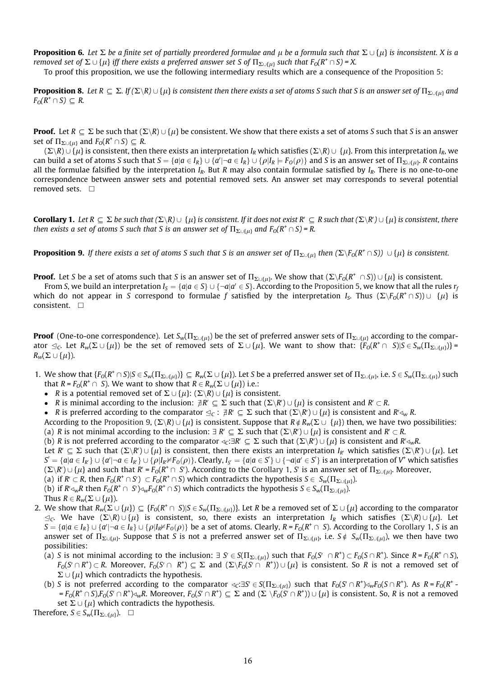**Proposition 6.** Let  $\Sigma$  be a finite set of partially preordered formulae and  $\mu$  be a formula such that  $\Sigma \cup \{\mu\}$  is inconsistent. X is a removed set of  $\Sigma \cup {\{\mu\}}$  iff there exists a preferred answer set S of  $\Pi_{\Sigma \cup {\{\mu\}}}$  such that  $F_0(R^+ \cap S) = X$ .

To proof this proposition, we use the following intermediary results which are a consequence of the [Proposition 5](#page-8-0):

**Proposition 8.** Let  $R \subseteq \Sigma$ . If  $(\Sigma \setminus R) \cup \{\mu\}$  is consistent then there exists a set of atoms S such that S is an answer set of  $\Pi_{\Sigma \cup \{u\}}$  and  $F_{\Omega}(R^+ \cap S) \subset R$ .

**Proof.** Let  $R \subseteq \Sigma$  be such that  $(\Sigma \setminus R) \cup \{\mu\}$  be consistent. We show that there exists a set of atoms S such that S is an answer set of  $\Pi_{\Sigma \cup \{\mu\}}$  and  $F_0(R^+ \cap S) \subseteq R$ .

 $(\Sigma \backslash R) \cup {\mu}$  is consistent, then there exists an interpretation I<sub>R</sub> which satisfies  $(\Sigma \backslash R) \cup \{\mu\}$ . From this interpretation I<sub>R</sub>, we can build a set of atoms S such that  $S=\{a|a\in I_R\}\cup\{a'|\neg a\in I_R\}\cup\{\rho|I_R\models F_o(\rho)\}$  and S is an answer set of  $\Pi_{\Sigma\cup\{\mu\}}.$  R contains all the formulae falsified by the interpretation  $I_R$ . But R may also contain formulae satisfied by  $I_R$ . There is no one-to-one correspondence between answer sets and potential removed sets. An answer set may corresponds to several potential removed sets.  $\Box$ 

**Corollary 1.** Let  $R \subseteq \Sigma$  be such that  $(\Sigma \backslash R) \cup \{\mu\}$  is consistent. If it does not exist  $R' \subseteq R$  such that  $(\Sigma \backslash R) \cup \{\mu\}$  is consistent, there then exists a set of atoms S such that S is an answer set of  $\Pi_{\Sigma \cup \{\mu\}}$  and  $F_0(R^* \cap S) = R$ .

**Proposition 9.** If there exists a set of atoms S such that S is an answer set of  $\Pi_{\Sigma \cup \{\mu\}}$  then  $(\Sigma \setminus F_O(R^* \cap S)) \cup {\{\mu\}}$  is consistent.

**Proof.** Let S be a set of atoms such that S is an answer set of  $\Pi_{\Sigma \cup \{\mu\}}$ . We show that  $(\Sigma \setminus F_0(R^+ \cap S)) \cup {\{\mu\}}$  is consistent.

From S, we build an interpretation  $I_S = \{a | a \in S\} \cup \{-a | a' \in S\}$ . According to the [Proposition 5](#page-8-0), we know that all the rules  $r_f$ which do not appear in S correspond to formulae f satisfied by the interpretation  $I_S$ . Thus  $(\Sigma \backslash F_0(R^+ \cap S)) \cup {\{\mu\}}$  is consistent.  $\Box$ 

**Proof** (One-to-one correspondence). Let  $S_w(\Pi_{\Sigma \cup \{\mu\}})$  be the set of preferred answer sets of  $\Pi_{\Sigma \cup \{\mu\}}$  according to the comparator  $\leq_C$ . Let  $R_w(\Sigma \cup \{\mu\})$  be the set of removed sets of  $\Sigma \cup \{\mu\}$ . We want to show that:  $\{F_0(R^+ \cap S) | S \in S_w(\Pi_{\Sigma \cup \{\mu\}})\}$  $R_w(\Sigma \cup \{\mu\}).$ 

- 1. We show that  $\{F_0(R^* \cap S)|S \in S_w(\Pi_{\Sigma \cup \{\mu\}})\}\subseteq R_w(\Sigma \cup \{\mu\})$ . Let S be a preferred answer set of  $\Pi_{\Sigma \cup \{\mu\}}$ , i.e.  $S \in S_w(\Pi_{\Sigma \cup \{\mu\}})$  such that  $R = F_O(R^* \cap S)$ . We want to show that  $R \in R_w(\Sigma \cup \{\mu\})$  i.e.:
	- R is a potential removed set of  $\Sigma \cup \{\mu\}$ :  $(\Sigma \setminus R) \cup \{\mu\}$  is consistent.
	- R is minimal according to the inclusion:  $\exists R' \subseteq \Sigma$  such that  $(\Sigma \setminus R') \cup \{\mu\}$  is consistent and  $R' \subset R$ .
	- R is preferred according to the comparator  $\trianglelefteq_c$ :  $\nexists R' \subseteq \Sigma$  such that  $(\Sigma \setminus R') \cup \{\mu\}$  is consistent and  $R' \triangleleft_{w} R$ .
	- According to the Proposition 9,  $(\Sigma \backslash R) \cup {\mu}$  is consistent. Suppose that  $R \notin R_w(\Sigma \cup \{\mu\})$  then, we have two possibilities: (a) R is not minimal according to the inclusion:  $\exists R' \subseteq \Sigma$  such that  $(\Sigma \setminus R') \cup \{\mu\}$  is consistent and  $R' \subset R$ .
	- (b) R is not preferred according to the comparator  $\ll_{C}:\exists R'\subseteq\Sigma$  such that  $(\Sigma\setminus R')\cup\{\mu\}$  is consistent and  $R'\ll_{w}R$

Let  $R' \subseteq \Sigma$  such that  $(\Sigma \setminus R') \cup \{\mu\}$  is consistent, then there exists an interpretation  $I_{R'}$  which satisfies  $(\Sigma \setminus R') \cup \{\mu\}$ . Let  $S' = \{a | a \in I_{R'}\} \cup \{a' | \neg a \in I_{R'}\} \cup \{\rho | I_{R'} \nvDash F_0(\rho)\}\$ . Clearly,  $I_{S'} = \{a | a \in S'\}\cup \{\neg a | a' \in S'\}\$  is an interpretation of  $V^*$  which satisfies  $(S \setminus R') \cup \{a\}$  and such that  $R' = E \cup R^* \cap S'$ . According to the Corollary 1,  $(\Sigma \backslash R') \cup \{\mu\}$  and such that  $R' = F_0(R^+ \cap S')$ . According to the Corollary 1, S' is an answer set of  $\Pi_{\Sigma \cup \{\mu\}}$ . Moreover,

- (a) if  $R' \subset R$ , then  $F_O(R^+ \cap S') \subset F_O(R^+ \cap S)$  which contradicts the hypothesis  $S \in S_w(\Pi_{\Sigma \cup \{\mu\}})$ .
- (b) if  $R' \triangleleft_{w} R$  then  $F_O(R^+ \cap S') \triangleleft_{w} F_O(R^+ \cap S)$  which contradicts the hypothesis  $S \in S_w(\Pi_{\Sigma \cup \{\mu\}})$ .

```
Thus R \in R_{w}(\Sigma \cup \{\mu\}).
```
- 2. We show that  $R_w(\Sigma \cup \{\mu\}) \subseteq {F_O(R^* \cap S)|S \in S_w(\Pi_{\Sigma \cup \{\mu\}\})}$ . Let R be a removed set of  $\Sigma \cup {\{\mu\}}$  according to the comparator  $\leq_C$ . We have  $(\Sigma \setminus R) \cup \{\mu\}$  is consistent, so, there exists an interpretation  $I_R$  which satisfies  $(\Sigma \setminus R) \cup \{\mu\}$ . Let  $S = \{a | a \in I_R\} \cup \{a' | \neg a \in I_R\} \cup \{\rho | I_R \nvDash F_0(\rho)\}$  be a set of atoms. Clearly,  $R = F_0(R^+ \cap S)$ . According to the Corollary 1, S is an approximate of  $\Pi_{\sigma}$ , suppose that S is not a preferred approximate of  $\Pi_{\sigma}$ , s is answer set of  $\Pi_{\Sigma\cup\{u\}}$ . Suppose that S is not a preferred answer set of  $\Pi_{\Sigma\cup\{u\}}$ , i.e.  $S \notin S_w(\Pi_{\Sigma\cup\{u\}})$ , we then have two possibilities:
	- (a) S is not minimal according to the inclusion:  $\exists S \in S(\Pi_{\Sigma \cup \{\mu\}})$  such that  $F_0(S' \cap R^+) \subset F_0(S \cap R^+)$ . Since  $R = F_0(R^+ \cap S)$ ,  $F_O(S' \cap R^+) \subset R$ . Moreover,  $F_O(S' \cap R^+) \subseteq \Sigma$  and  $(\Sigma \setminus F_O(S' \cap R^+)) \cup \{\mu\}$  is consistent. So R is not a removed set of  $\Sigma \cup {\mu}$  which contradicts the hypothesis.
	- (b) S is not preferred according to the comparator  $\triangleleft c: \exists S' \in S(\Pi_{\Sigma \cup \{\mu\}})$  such that  $F_0(S \cap R^+) \triangleleft_w F_0(S \cap R^+)$ . As  $R = F_0(R^+ R^+)$  $F_G(R^+ \cap S)$ , $F_G(S' \cap R^+)$ q,,, $R$ . Moreover,  $F_G(S' \cap R^+) \subseteq \Sigma$  and  $(\Sigma \setminus F_O\widetilde(S' \cap R^+)) \cup \{\mu\}$  is consistent. So,  $R$  is not a removed set  $\Sigma \cup \{\mu\}$  which contradicts the hypothesis.

Therefore,  $S \in S_w(\Pi_{\Sigma \cup \{\mu\}})$ .  $\Box$